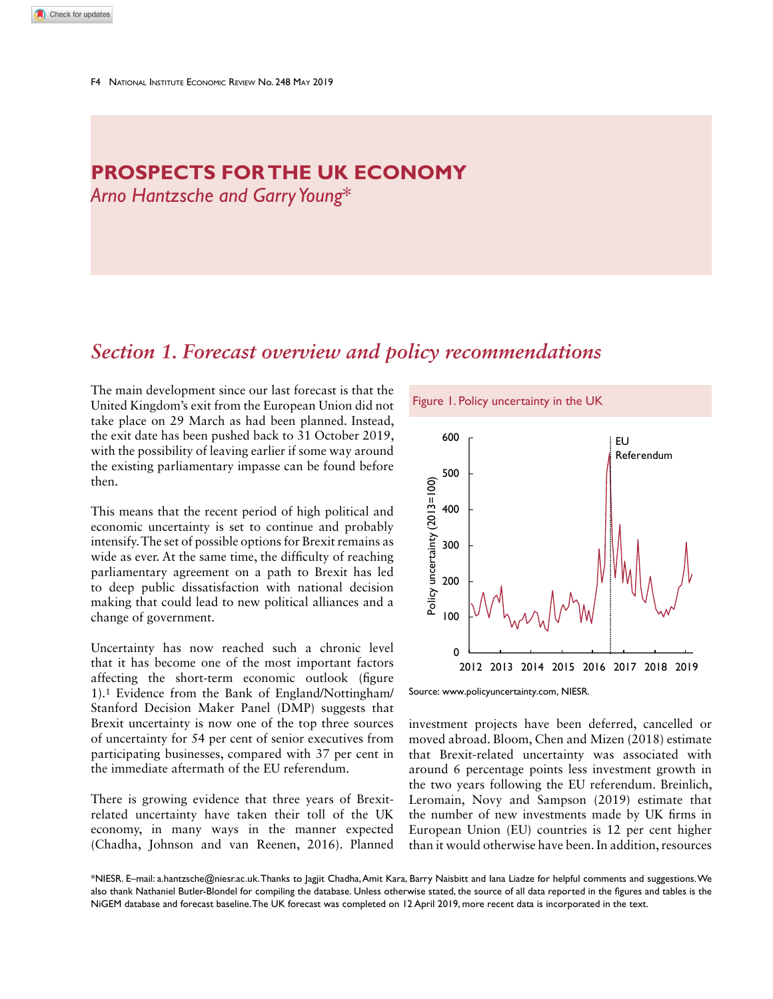# **PROSPECTS FOR THE UK ECONOMY**

*Arno Hantzsche and Garry Young*\*

# *Section 1. Forecast overview and policy recommendations*

The main development since our last forecast is that the<br>United Kingdom's exit from the European Union did not Figure 1. Policy uncertainty in the UK United Kingdom's exit from the European Union did not take place on 29 March as had been planned. Instead, the exit date has been pushed back to 31 October 2019, with the possibility of leaving earlier if some way around the existing parliamentary impasse can be found before then.

This means that the recent period of high political and economic uncertainty is set to continue and probably intensify. The set of possible options for Brexit remains as wide as ever. At the same time, the difficulty of reaching parliamentary agreement on a path to Brexit has led to deep public dissatisfaction with national decision making that could lead to new political alliances and a change of government.

Uncertainty has now reached such a chronic level that it has become one of the most important factors affecting the short-term economic outlook (figure 1).1 Evidence from the Bank of England/Nottingham/ Stanford Decision Maker Panel (DMP) suggests that Brexit uncertainty is now one of the top three sources of uncertainty for 54 per cent of senior executives from participating businesses, compared with 37 per cent in the immediate aftermath of the EU referendum.

There is growing evidence that three years of Brexitrelated uncertainty have taken their toll of the UK economy, in many ways in the manner expected (Chadha, Johnson and van Reenen, 2016). Planned



Source: www.policyuncertainty.com, NIESR.

investment projects have been deferred, cancelled or moved abroad. Bloom, Chen and Mizen (2018) estimate that Brexit-related uncertainty was associated with around 6 percentage points less investment growth in the two years following the EU referendum. Breinlich, Leromain, Novy and Sampson (2019) estimate that the number of new investments made by UK firms in European Union (EU) countries is 12 per cent higher than it would otherwise have been. In addition, resources

\*NIESR. E–mail: a.hantzsche@niesr.ac.uk. Thanks to Jagjit Chadha, Amit Kara, Barry Naisbitt and Iana Liadze for helpful comments and suggestions. We also thank Nathaniel Butler-Blondel for compiling the database. Unless otherwise stated, the source of all data reported in the figures and tables is the NiGEM database and forecast baseline. The UK forecast was completed on 12 April 2019, more recent data is incorporated in the text.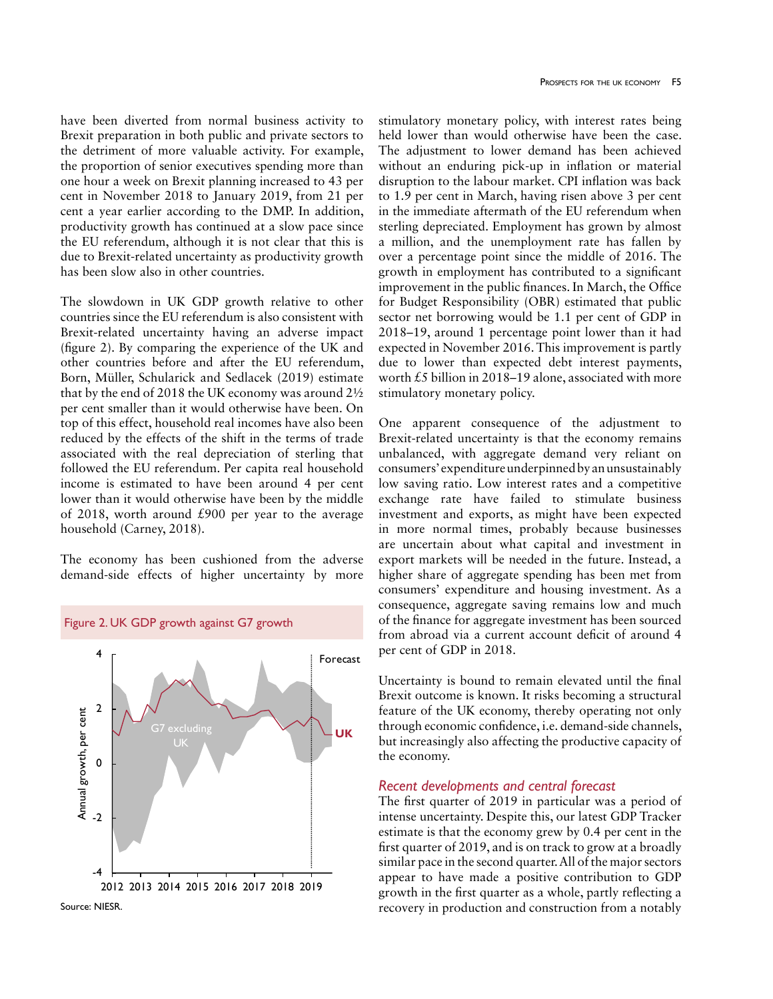have been diverted from normal business activity to Brexit preparation in both public and private sectors to the detriment of more valuable activity. For example, the proportion of senior executives spending more than one hour a week on Brexit planning increased to 43 per cent in November 2018 to January 2019, from 21 per cent a year earlier according to the DMP. In addition, productivity growth has continued at a slow pace since the EU referendum, although it is not clear that this is due to Brexit-related uncertainty as productivity growth has been slow also in other countries.

The slowdown in UK GDP growth relative to other countries since the EU referendum is also consistent with Brexit-related uncertainty having an adverse impact (figure 2). By comparing the experience of the UK and other countries before and after the EU referendum, Born, Müller, Schularick and Sedlacek (2019) estimate that by the end of 2018 the UK economy was around 2½ per cent smaller than it would otherwise have been. On top of this effect, household real incomes have also been reduced by the effects of the shift in the terms of trade associated with the real depreciation of sterling that followed the EU referendum. Per capita real household income is estimated to have been around 4 per cent lower than it would otherwise have been by the middle of 2018, worth around £900 per year to the average household (Carney, 2018).

The economy has been cushioned from the adverse demand-side effects of higher uncertainty by more

Figure 2. UK GDP growth against G7 growth





stimulatory monetary policy, with interest rates being held lower than would otherwise have been the case. The adjustment to lower demand has been achieved without an enduring pick-up in inflation or material disruption to the labour market. CPI inflation was back to 1.9 per cent in March, having risen above 3 per cent in the immediate aftermath of the EU referendum when sterling depreciated. Employment has grown by almost a million, and the unemployment rate has fallen by over a percentage point since the middle of 2016. The growth in employment has contributed to a significant improvement in the public finances. In March, the Office for Budget Responsibility (OBR) estimated that public sector net borrowing would be 1.1 per cent of GDP in 2018–19, around 1 percentage point lower than it had expected in November 2016. This improvement is partly due to lower than expected debt interest payments, worth £5 billion in 2018–19 alone, associated with more stimulatory monetary policy.

One apparent consequence of the adjustment to Brexit-related uncertainty is that the economy remains unbalanced, with aggregate demand very reliant on consumers' expenditure underpinned by an unsustainably low saving ratio. Low interest rates and a competitive exchange rate have failed to stimulate business investment and exports, as might have been expected in more normal times, probably because businesses are uncertain about what capital and investment in export markets will be needed in the future. Instead, a higher share of aggregate spending has been met from consumers' expenditure and housing investment. As a consequence, aggregate saving remains low and much of the finance for aggregate investment has been sourced from abroad via a current account deficit of around 4 per cent of GDP in 2018.

Uncertainty is bound to remain elevated until the final Brexit outcome is known. It risks becoming a structural feature of the UK economy, thereby operating not only through economic confidence, i.e. demand-side channels, but increasingly also affecting the productive capacity of the economy.

## *Recent developments and central forecast*

The first quarter of 2019 in particular was a period of intense uncertainty. Despite this, our latest GDP Tracker estimate is that the economy grew by 0.4 per cent in the first quarter of 2019, and is on track to grow at a broadly similar pace in the second quarter. All of the major sectors appear to have made a positive contribution to GDP growth in the first quarter as a whole, partly reflecting a recovery in production and construction from a notably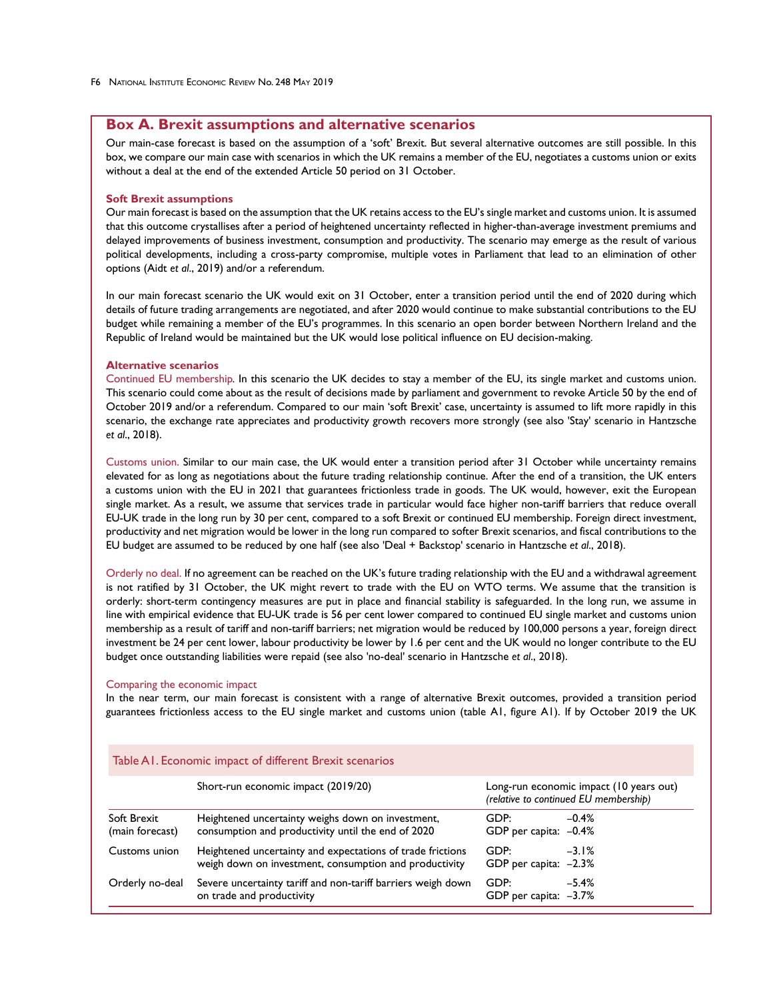# **Box A. Brexit assumptions and alternative scenarios**

Our main-case forecast is based on the assumption of a 'soft' Brexit. But several alternative outcomes are still possible. In this box, we compare our main case with scenarios in which the UK remains a member of the EU, negotiates a customs union or exits without a deal at the end of the extended Article 50 period on 31 October.

#### **Soft Brexit assumptions**

Our main forecast is based on the assumption that the UK retains access to the EU's single market and customs union. It is assumed that this outcome crystallises after a period of heightened uncertainty reflected in higher-than-average investment premiums and delayed improvements of business investment, consumption and productivity. The scenario may emerge as the result of various political developments, including a cross-party compromise, multiple votes in Parliament that lead to an elimination of other options (Aidt *et al*., 2019) and/or a referendum.

In our main forecast scenario the UK would exit on 31 October, enter a transition period until the end of 2020 during which details of future trading arrangements are negotiated, and after 2020 would continue to make substantial contributions to the EU budget while remaining a member of the EU's programmes. In this scenario an open border between Northern Ireland and the Republic of Ireland would be maintained but the UK would lose political influence on EU decision-making.

#### **Alternative scenarios**

Continued EU membership*.* In this scenario the UK decides to stay a member of the EU, its single market and customs union. This scenario could come about as the result of decisions made by parliament and government to revoke Article 50 by the end of October 2019 and/or a referendum. Compared to our main 'soft Brexit' case, uncertainty is assumed to lift more rapidly in this scenario, the exchange rate appreciates and productivity growth recovers more strongly (see also 'Stay' scenario in Hantzsche *et al*., 2018).

Customs union. Similar to our main case, the UK would enter a transition period after 31 October while uncertainty remains elevated for as long as negotiations about the future trading relationship continue. After the end of a transition, the UK enters a customs union with the EU in 2021 that guarantees frictionless trade in goods. The UK would, however, exit the European single market. As a result, we assume that services trade in particular would face higher non-tariff barriers that reduce overall EU-UK trade in the long run by 30 per cent, compared to a soft Brexit or continued EU membership. Foreign direct investment, productivity and net migration would be lower in the long run compared to softer Brexit scenarios, and fiscal contributions to the EU budget are assumed to be reduced by one half (see also 'Deal + Backstop' scenario in Hantzsche *et al*., 2018).

Orderly no deal. If no agreement can be reached on the UK's future trading relationship with the EU and a withdrawal agreement is not ratified by 31 October, the UK might revert to trade with the EU on WTO terms. We assume that the transition is orderly: short-term contingency measures are put in place and financial stability is safeguarded. In the long run, we assume in line with empirical evidence that EU-UK trade is 56 per cent lower compared to continued EU single market and customs union membership as a result of tariff and non-tariff barriers; net migration would be reduced by 100,000 persons a year, foreign direct investment be 24 per cent lower, labour productivity be lower by 1.6 per cent and the UK would no longer contribute to the EU budget once outstanding liabilities were repaid (see also 'no-deal' scenario in Hantzsche *et al*., 2018).

#### Comparing the economic impact

In the near term, our main forecast is consistent with a range of alternative Brexit outcomes, provided a transition period guarantees frictionless access to the EU single market and customs union (table A1, figure A1). If by October 2019 the UK

|                                | Short-run economic impact (2019/20)                                                                                  | Long-run economic impact (10 years out)<br>(relative to continued EU membership) |         |  |  |  |
|--------------------------------|----------------------------------------------------------------------------------------------------------------------|----------------------------------------------------------------------------------|---------|--|--|--|
| Soft Brexit<br>(main forecast) | Heightened uncertainty weighs down on investment,<br>consumption and productivity until the end of 2020              | GDP:<br>GDP per capita: -0.4%                                                    | $-0.4%$ |  |  |  |
| Customs union                  | Heightened uncertainty and expectations of trade frictions<br>weigh down on investment, consumption and productivity | GDP:<br>GDP per capita: -2.3%                                                    | $-3.1%$ |  |  |  |
| Orderly no-deal                | Severe uncertainty tariff and non-tariff barriers weigh down<br>on trade and productivity                            | GDP:<br>GDP per capita: $-3.7\%$                                                 | $-5.4%$ |  |  |  |

#### Table A1. Economic impact of different Brexit scenarios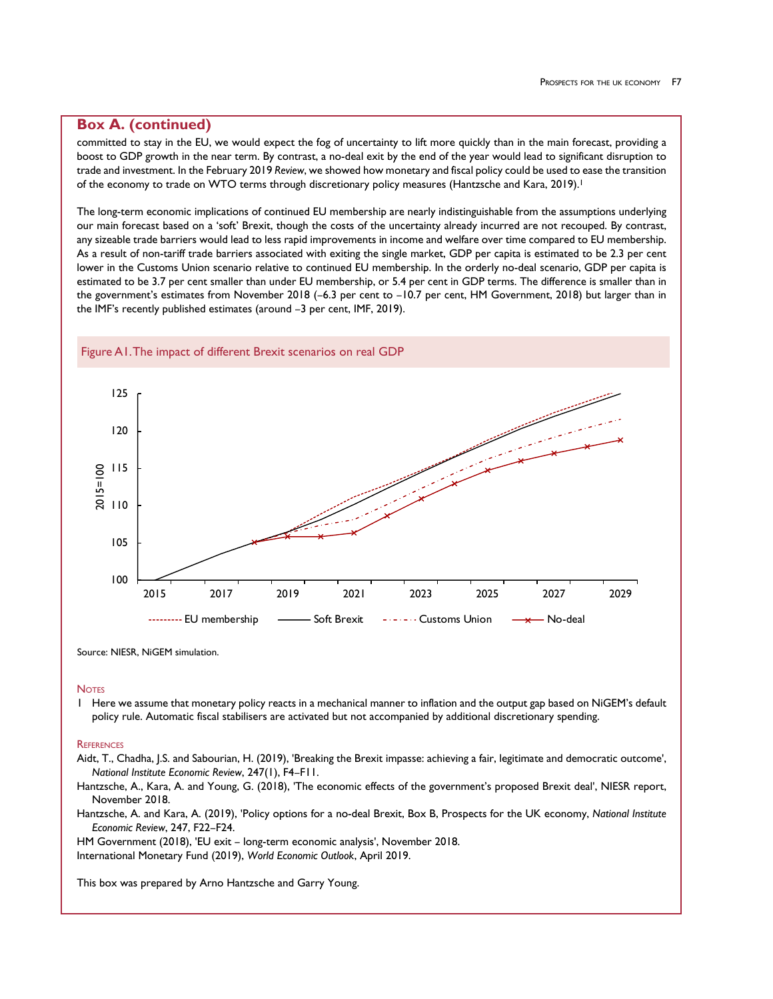# **Box A. (continued)**

committed to stay in the EU, we would expect the fog of uncertainty to lift more quickly than in the main forecast, providing a boost to GDP growth in the near term. By contrast, a no-deal exit by the end of the year would lead to significant disruption to trade and investment. In the February 2019 *Review*, we showed how monetary and fiscal policy could be used to ease the transition of the economy to trade on WTO terms through discretionary policy measures (Hantzsche and Kara, 2019).<sup>1</sup>

The long-term economic implications of continued EU membership are nearly indistinguishable from the assumptions underlying our main forecast based on a 'soft' Brexit, though the costs of the uncertainty already incurred are not recouped. By contrast, any sizeable trade barriers would lead to less rapid improvements in income and welfare over time compared to EU membership. As a result of non-tariff trade barriers associated with exiting the single market, GDP per capita is estimated to be 2.3 per cent lower in the Customs Union scenario relative to continued EU membership. In the orderly no-deal scenario, GDP per capita is estimated to be 3.7 per cent smaller than under EU membership, or 5.4 per cent in GDP terms. The difference is smaller than in the government's estimates from November 2018 (–6.3 per cent to –10.7 per cent, HM Government, 2018) but larger than in the IMF's recently published estimates (around –3 per cent, IMF, 2019).



Source: NIESR, NiGEM simulation.

#### **Notes**

1 Here we assume that monetary policy reacts in a mechanical manner to inflation and the output gap based on NiGEM's default policy rule. Automatic fiscal stabilisers are activated but not accompanied by additional discretionary spending.

#### **REFERENCES**

Aidt, T., Chadha, J.S. and Sabourian, H. (2019), 'Breaking the Brexit impasse: achieving a fair, legitimate and democratic outcome', *National Institute Economic Review*, 247(1), F4–F11.

Hantzsche, A., Kara, A. and Young, G. (2018), 'The economic effects of the government's proposed Brexit deal', NIESR report, November 2018.

Hantzsche, A. and Kara, A. (2019), 'Policy options for a no-deal Brexit, Box B, Prospects for the UK economy, *National Institute Economic Review*, 247, F22–F24.

HM Government (2018), 'EU exit – long-term economic analysis', November 2018. International Monetary Fund (2019), *World Economic Outlook*, April 2019.

This box was prepared by Arno Hantzsche and Garry Young.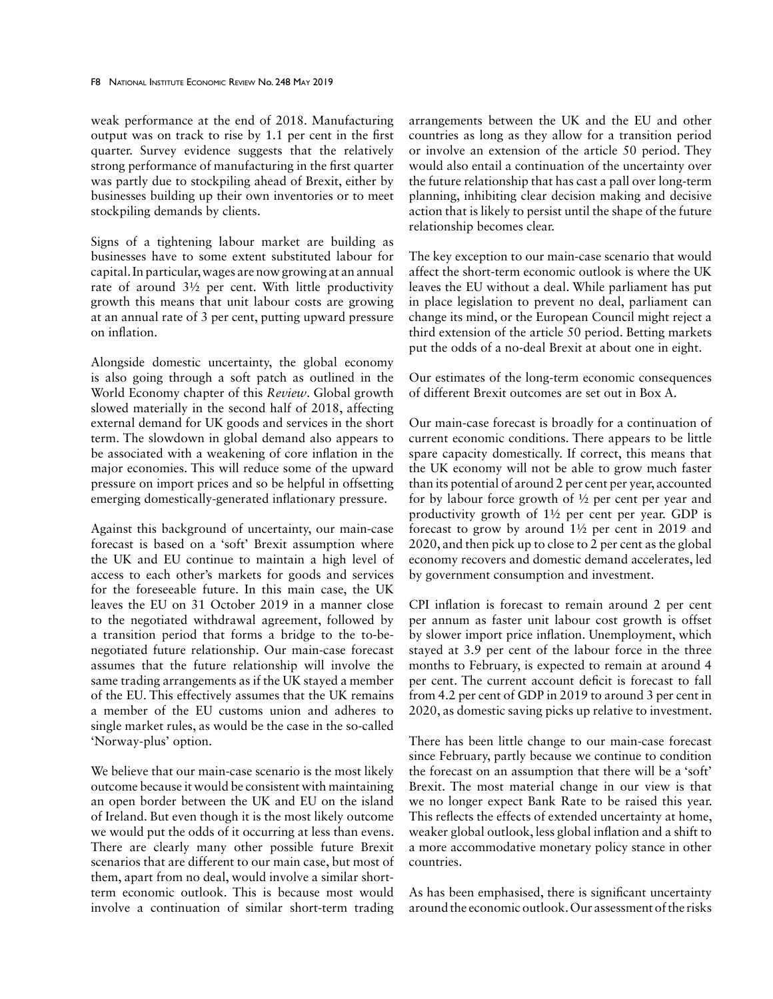weak performance at the end of 2018. Manufacturing output was on track to rise by 1.1 per cent in the first quarter. Survey evidence suggests that the relatively strong performance of manufacturing in the first quarter was partly due to stockpiling ahead of Brexit, either by businesses building up their own inventories or to meet stockpiling demands by clients.

Signs of a tightening labour market are building as businesses have to some extent substituted labour for capital. In particular, wages are now growing at an annual rate of around 3½ per cent. With little productivity growth this means that unit labour costs are growing at an annual rate of 3 per cent, putting upward pressure on inflation.

Alongside domestic uncertainty, the global economy is also going through a soft patch as outlined in the World Economy chapter of this *Review*. Global growth slowed materially in the second half of 2018, affecting external demand for UK goods and services in the short term. The slowdown in global demand also appears to be associated with a weakening of core inflation in the major economies. This will reduce some of the upward pressure on import prices and so be helpful in offsetting emerging domestically-generated inflationary pressure.

Against this background of uncertainty, our main-case forecast is based on a 'soft' Brexit assumption where the UK and EU continue to maintain a high level of access to each other's markets for goods and services for the foreseeable future. In this main case, the UK leaves the EU on 31 October 2019 in a manner close to the negotiated withdrawal agreement, followed by a transition period that forms a bridge to the to-benegotiated future relationship. Our main-case forecast assumes that the future relationship will involve the same trading arrangements as if the UK stayed a member of the EU. This effectively assumes that the UK remains a member of the EU customs union and adheres to single market rules, as would be the case in the so-called 'Norway-plus' option.

We believe that our main-case scenario is the most likely outcome because it would be consistent with maintaining an open border between the UK and EU on the island of Ireland. But even though it is the most likely outcome we would put the odds of it occurring at less than evens. There are clearly many other possible future Brexit scenarios that are different to our main case, but most of them, apart from no deal, would involve a similar shortterm economic outlook. This is because most would involve a continuation of similar short-term trading

arrangements between the UK and the EU and other countries as long as they allow for a transition period or involve an extension of the article 50 period. They would also entail a continuation of the uncertainty over the future relationship that has cast a pall over long-term planning, inhibiting clear decision making and decisive action that is likely to persist until the shape of the future relationship becomes clear.

The key exception to our main-case scenario that would affect the short-term economic outlook is where the UK leaves the EU without a deal. While parliament has put in place legislation to prevent no deal, parliament can change its mind, or the European Council might reject a third extension of the article 50 period. Betting markets put the odds of a no-deal Brexit at about one in eight.

Our estimates of the long-term economic consequences of different Brexit outcomes are set out in Box A.

Our main-case forecast is broadly for a continuation of current economic conditions. There appears to be little spare capacity domestically. If correct, this means that the UK economy will not be able to grow much faster than its potential of around 2 per cent per year, accounted for by labour force growth of ½ per cent per year and productivity growth of 1½ per cent per year. GDP is forecast to grow by around 1½ per cent in 2019 and 2020, and then pick up to close to 2 per cent as the global economy recovers and domestic demand accelerates, led by government consumption and investment.

CPI inflation is forecast to remain around 2 per cent per annum as faster unit labour cost growth is offset by slower import price inflation. Unemployment, which stayed at 3.9 per cent of the labour force in the three months to February, is expected to remain at around 4 per cent. The current account deficit is forecast to fall from 4.2 per cent of GDP in 2019 to around 3 per cent in 2020, as domestic saving picks up relative to investment.

There has been little change to our main-case forecast since February, partly because we continue to condition the forecast on an assumption that there will be a 'soft' Brexit. The most material change in our view is that we no longer expect Bank Rate to be raised this year. This reflects the effects of extended uncertainty at home, weaker global outlook, less global inflation and a shift to a more accommodative monetary policy stance in other countries.

As has been emphasised, there is significant uncertainty around the economic outlook. Our assessment of the risks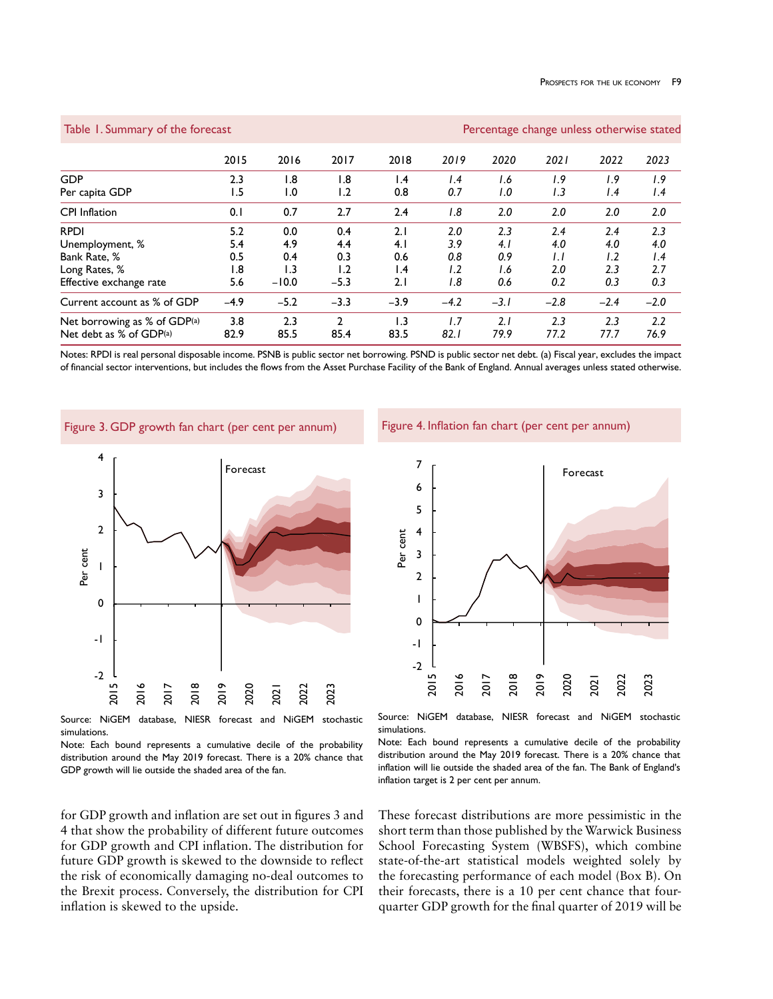Table 1. Summary of the forecast Percentage change unless otherwise stated

|                                                         | 2015            | 2016                    | 2017                  | 2018                     | 2019        | 2020        | 2021        | 2022        | 2023        |
|---------------------------------------------------------|-----------------|-------------------------|-----------------------|--------------------------|-------------|-------------|-------------|-------------|-------------|
| <b>GDP</b>                                              | 2.3             | 1.8                     | 1.8                   | $\mathsf{I}$ .4          | 1.4         | 1.6         | 1.9         | 1.9         | 1.9         |
| Per capita GDP                                          | 1.5             | $\mathsf{I}.\mathsf{O}$ | 1.2                   | 0.8                      | 0.7         | 1.0         | 1.3         | 1.4         | 1.4         |
| <b>CPI</b> Inflation                                    | 0.1             | 0.7                     | 2.7                   | 2.4                      | 1.8         | 2.0         | 2.0         | 2.0         | 2.0         |
| <b>RPDI</b>                                             | 5.2             | 0.0                     | 0.4                   | 2.1                      | 2.0         | 2.3         | 2.4         | 2.4         | 2.3         |
| Unemployment, %                                         | 5.4             | 4.9                     | 4.4                   | 4.1                      | 3.9         | 4.1         | 4.0         | 4.0         | 4.0         |
| Bank Rate, %                                            | 0.5             | 0.4                     | 0.3                   | 0.6                      | 0.8         | 0.9         | I.I         | 1.2         | 1.4         |
| Long Rates, %                                           | $\overline{.8}$ | $\overline{1.3}$        | 1.2                   | $\mathsf{I}$ .4          | 1.2         | I.6         | 2.0         | 2.3         | 2.7         |
| Effective exchange rate                                 | 5.6             | $-10.0$                 | $-5.3$                | 2.1                      | 1.8         | 0.6         | 0.2         | 0.3         | 0.3         |
| Current account as % of GDP                             | $-4.9$          | $-5.2$                  | $-3.3$                | $-3.9$                   | $-4.2$      | $-3.1$      | $-2.8$      | $-2.4$      | $-2.0$      |
| Net borrowing as % of GDP(a)<br>Net debt as % of GDP(a) | 3.8<br>82.9     | 2.3<br>85.5             | $\mathcal{D}$<br>85.4 | $\overline{1.3}$<br>83.5 | 1.7<br>82.1 | 2.1<br>79.9 | 2.3<br>77.2 | 2.3<br>77.7 | 2.2<br>76.9 |

Notes: RPDI is real personal disposable income. PSNB is public sector net borrowing. PSND is public sector net debt. (a) Fiscal year, excludes the impact of financial sector interventions, but includes the flows from the Asset Purchase Facility of the Bank of England. Annual averages unless stated otherwise.

Figure 3. GDP growth fan chart (per cent per annum)



Source: NiGEM database, NIESR forecast and NiGEM stochastic simulations.

Note: Each bound represents a cumulative decile of the probability distribution around the May 2019 forecast. There is a 20% chance that GDP growth will lie outside the shaded area of the fan.

for GDP growth and inflation are set out in figures 3 and 4 that show the probability of different future outcomes for GDP growth and CPI inflation. The distribution for future GDP growth is skewed to the downside to reflect the risk of economically damaging no-deal outcomes to the Brexit process. Conversely, the distribution for CPI inflation is skewed to the upside.

Figure 4. Inflation fan chart (per cent per annum)



Source: NiGEM database, NIESR forecast and NiGEM stochastic simulations.

Note: Each bound represents a cumulative decile of the probability distribution around the May 2019 forecast. There is a 20% chance that inflation will lie outside the shaded area of the fan. The Bank of England's inflation target is 2 per cent per annum.

These forecast distributions are more pessimistic in the short term than those published by the Warwick Business School Forecasting System (WBSFS), which combine state-of-the-art statistical models weighted solely by the forecasting performance of each model (Box B). On their forecasts, there is a 10 per cent chance that fourquarter GDP growth for the final quarter of 2019 will be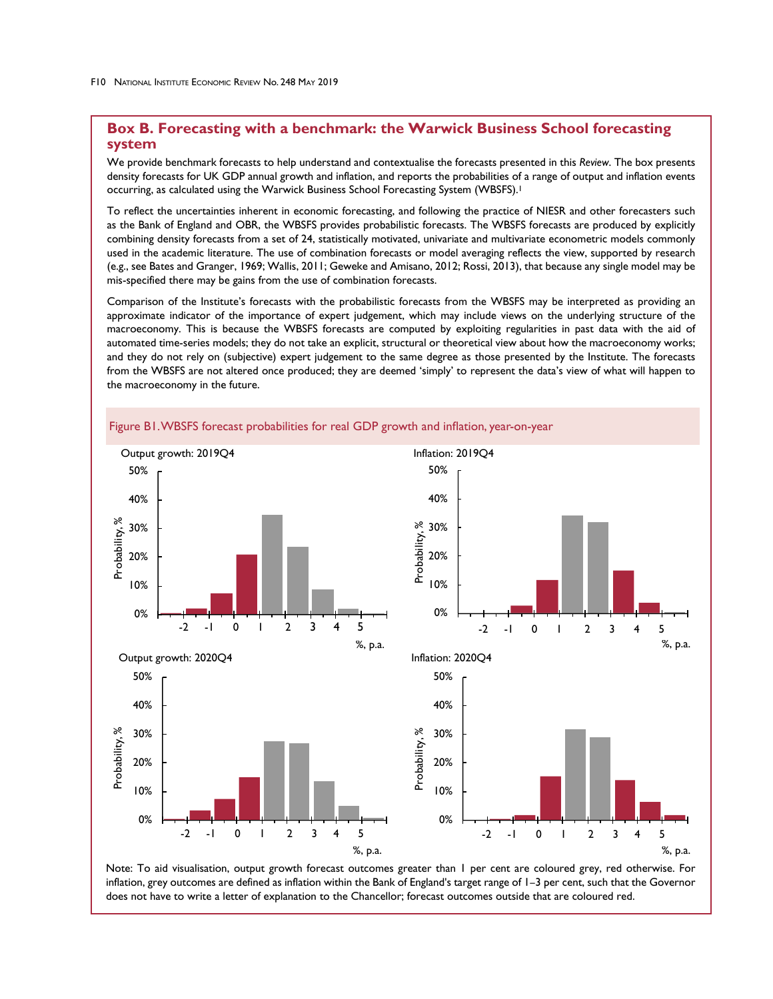# **Box B. Forecasting with a benchmark: the Warwick Business School forecasting system**

We provide benchmark forecasts to help understand and contextualise the forecasts presented in this *Review*. The box presents density forecasts for UK GDP annual growth and inflation, and reports the probabilities of a range of output and inflation events occurring, as calculated using the Warwick Business School Forecasting System (WBSFS).1

To reflect the uncertainties inherent in economic forecasting, and following the practice of NIESR and other forecasters such as the Bank of England and OBR, the WBSFS provides probabilistic forecasts. The WBSFS forecasts are produced by explicitly combining density forecasts from a set of 24, statistically motivated, univariate and multivariate econometric models commonly used in the academic literature. The use of combination forecasts or model averaging reflects the view, supported by research (e.g., see Bates and Granger, 1969; Wallis, 2011; Geweke and Amisano, 2012; Rossi, 2013), that because any single model may be mis-specified there may be gains from the use of combination forecasts.

Comparison of the Institute's forecasts with the probabilistic forecasts from the WBSFS may be interpreted as providing an approximate indicator of the importance of expert judgement, which may include views on the underlying structure of the macroeconomy. This is because the WBSFS forecasts are computed by exploiting regularities in past data with the aid of automated time-series models; they do not take an explicit, structural or theoretical view about how the macroeconomy works; and they do not rely on (subjective) expert judgement to the same degree as those presented by the Institute. The forecasts from the WBSFS are not altered once produced; they are deemed 'simply' to represent the data's view of what will happen to the macroeconomy in the future.



# Figure B1. WBSFS forecast probabilities for real GDP growth and inflation, year-on-year

Note: To aid visualisation, output growth forecast outcomes greater than 1 per cent are coloured grey, red otherwise. For inflation, grey outcomes are defined as inflation within the Bank of England's target range of 1–3 per cent, such that the Governor does not have to write a letter of explanation to the Chancellor; forecast outcomes outside that are coloured red.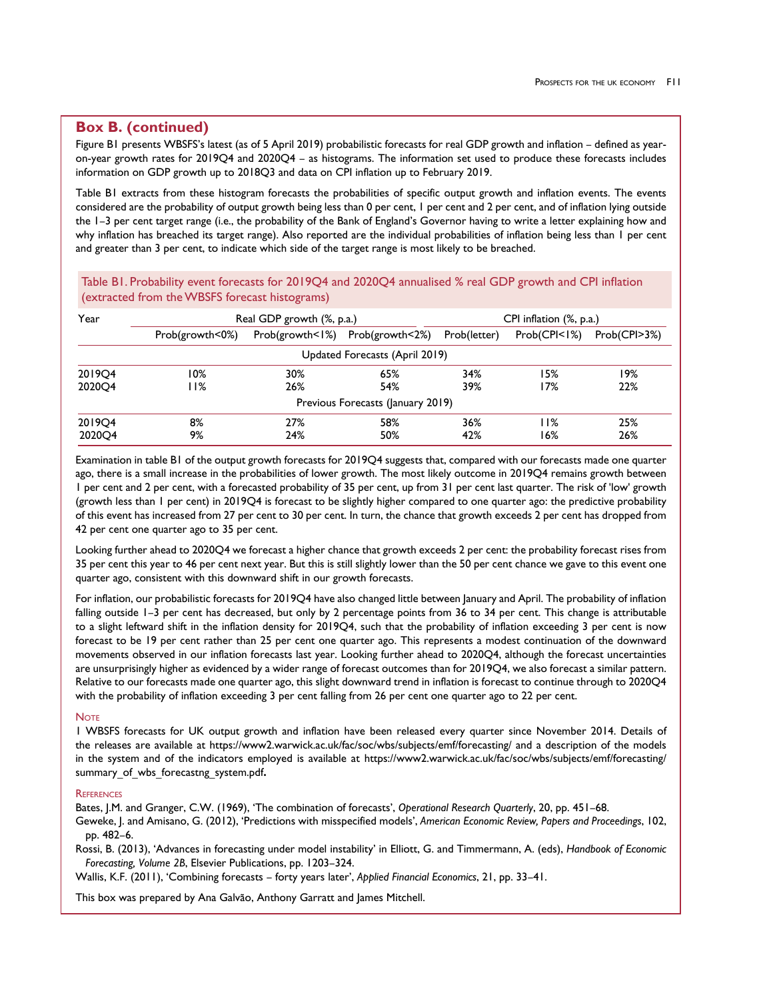# **Box B. (continued)**

Figure B1 presents WBSFS's latest (as of 5 April 2019) probabilistic forecasts for real GDP growth and inflation – defined as yearon-year growth rates for 2019Q4 and 2020Q4 – as histograms. The information set used to produce these forecasts includes information on GDP growth up to 2018Q3 and data on CPI inflation up to February 2019.

Table B1 extracts from these histogram forecasts the probabilities of specific output growth and inflation events. The events considered are the probability of output growth being less than 0 per cent, 1 per cent and 2 per cent, and of inflation lying outside the 1–3 per cent target range (i.e., the probability of the Bank of England's Governor having to write a letter explaining how and why inflation has breached its target range). Also reported are the individual probabilities of inflation being less than 1 per cent and greater than 3 per cent, to indicate which side of the target range is most likely to be breached.

Table B1. Probability event forecasts for 2019Q4 and 2020Q4 annualised % real GDP growth and CPI inflation (extracted from the WBSFS forecast histograms)

| Year   |                 | Real GDP growth (%, p.a.) |                                   | CPI inflation (%, p.a.) |                          |              |  |  |
|--------|-----------------|---------------------------|-----------------------------------|-------------------------|--------------------------|--------------|--|--|
|        | Prob(growth<0%) | Prob(growth < 1%)         | Prob(growth<2%)                   | Prob(letter)            | Prob(CPI <sub>1</sub> %) | Prob(CPI>3%) |  |  |
|        |                 |                           | Updated Forecasts (April 2019)    |                         |                          |              |  |  |
| 201904 | 10%             | 30%                       | 65%                               | 34%                     | 15%                      | 19%          |  |  |
| 202004 | l I%            | 26%                       | 54%                               | 39%                     | 17%                      | 22%          |  |  |
|        |                 |                           | Previous Forecasts (January 2019) |                         |                          |              |  |  |
| 201904 | 8%              | 27%                       | 58%                               | 36%                     | l I%                     | 25%          |  |  |
| 202004 | 9%              | 24%                       | 50%                               | 42%                     | 16%                      | 26%          |  |  |

Examination in table B1 of the output growth forecasts for 2019Q4 suggests that, compared with our forecasts made one quarter ago, there is a small increase in the probabilities of lower growth. The most likely outcome in 2019Q4 remains growth between 1 per cent and 2 per cent, with a forecasted probability of 35 per cent, up from 31 per cent last quarter. The risk of 'low' growth (growth less than 1 per cent) in 2019Q4 is forecast to be slightly higher compared to one quarter ago: the predictive probability of this event has increased from 27 per cent to 30 per cent. In turn, the chance that growth exceeds 2 per cent has dropped from 42 per cent one quarter ago to 35 per cent.

Looking further ahead to 2020Q4 we forecast a higher chance that growth exceeds 2 per cent: the probability forecast rises from 35 per cent this year to 46 per cent next year. But this is still slightly lower than the 50 per cent chance we gave to this event one quarter ago, consistent with this downward shift in our growth forecasts.

For inflation, our probabilistic forecasts for 2019Q4 have also changed little between January and April. The probability of inflation falling outside 1–3 per cent has decreased, but only by 2 percentage points from 36 to 34 per cent. This change is attributable to a slight leftward shift in the inflation density for 2019Q4, such that the probability of inflation exceeding 3 per cent is now forecast to be 19 per cent rather than 25 per cent one quarter ago. This represents a modest continuation of the downward movements observed in our inflation forecasts last year. Looking further ahead to 2020Q4, although the forecast uncertainties are unsurprisingly higher as evidenced by a wider range of forecast outcomes than for 2019Q4, we also forecast a similar pattern. Relative to our forecasts made one quarter ago, this slight downward trend in inflation is forecast to continue through to 2020Q4 with the probability of inflation exceeding 3 per cent falling from 26 per cent one quarter ago to 22 per cent.

#### **NOTE**

1 WBSFS forecasts for UK output growth and inflation have been released every quarter since November 2014. Details of the releases are available at https://www2.warwick.ac.uk/fac/soc/wbs/subjects/emf/forecasting/ and a description of the models in the system and of the indicators employed is available at https://www2.warwick.ac.uk/fac/soc/wbs/subjects/emf/forecasting/ summary\_of\_wbs\_forecastng\_system.pdf**.**

#### **REFERENCES**

Bates, J.M. and Granger, C.W. (1969), 'The combination of forecasts', *Operational Research Quarterly*, 20, pp. 451–68. Geweke, J. and Amisano, G. (2012), 'Predictions with misspecified models', *American Economic Review, Papers and Proceedings*, 102, pp. 482–6.

Rossi, B. (2013), 'Advances in forecasting under model instability' in Elliott, G. and Timmermann, A. (eds), *Handbook of Economic Forecasting, Volume 2B*, Elsevier Publications, pp. 1203–324.

Wallis, K.F. (2011), 'Combining forecasts – forty years later', *Applied Financial Economics*, 21, pp. 33–41.

This box was prepared by Ana Galvão, Anthony Garratt and James Mitchell.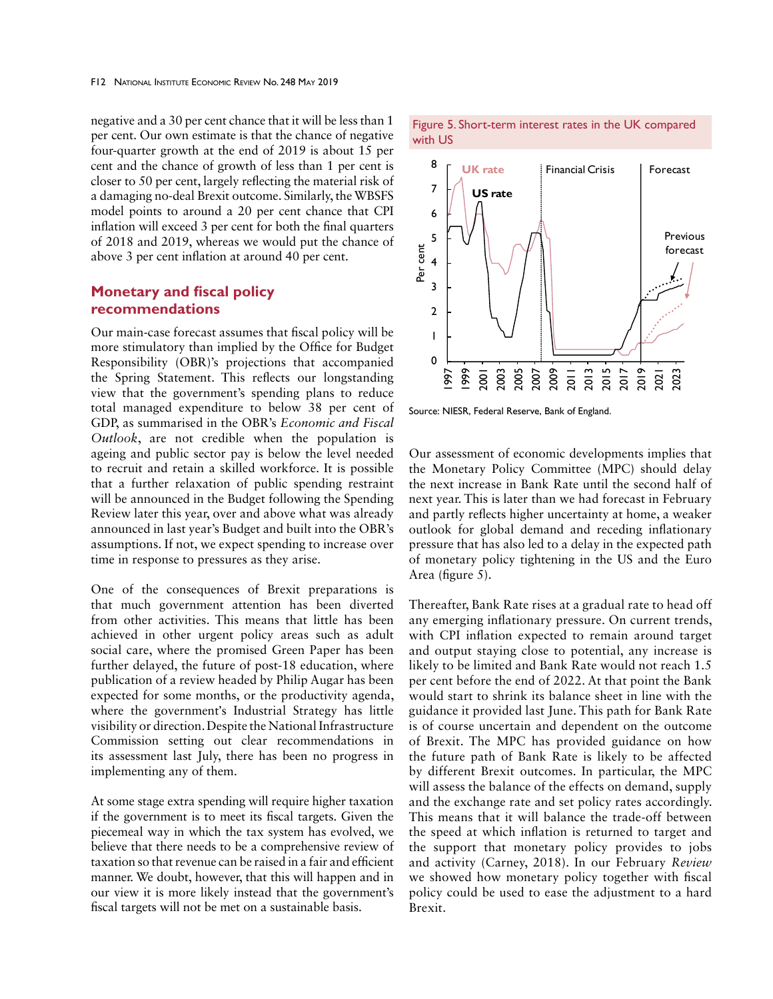negative and a 30 per cent chance that it will be less than 1 per cent. Our own estimate is that the chance of negative four-quarter growth at the end of 2019 is about 15 per cent and the chance of growth of less than 1 per cent is closer to 50 per cent, largely reflecting the material risk of a damaging no-deal Brexit outcome. Similarly, the WBSFS model points to around a 20 per cent chance that CPI inflation will exceed 3 per cent for both the final quarters of 2018 and 2019, whereas we would put the chance of above 3 per cent inflation at around 40 per cent.

# **Monetary and fiscal policy recommendations**

Our main-case forecast assumes that fiscal policy will be more stimulatory than implied by the Office for Budget Responsibility (OBR)'s projections that accompanied the Spring Statement. This reflects our longstanding view that the government's spending plans to reduce total managed expenditure to below 38 per cent of GDP, as summarised in the OBR's *Economic and Fiscal Outlook*, are not credible when the population is ageing and public sector pay is below the level needed to recruit and retain a skilled workforce. It is possible that a further relaxation of public spending restraint will be announced in the Budget following the Spending Review later this year, over and above what was already announced in last year's Budget and built into the OBR's assumptions. If not, we expect spending to increase over time in response to pressures as they arise.

One of the consequences of Brexit preparations is that much government attention has been diverted from other activities. This means that little has been achieved in other urgent policy areas such as adult social care, where the promised Green Paper has been further delayed, the future of post-18 education, where publication of a review headed by Philip Augar has been expected for some months, or the productivity agenda, where the government's Industrial Strategy has little visibility or direction. Despite the National Infrastructure Commission setting out clear recommendations in its assessment last July, there has been no progress in implementing any of them.

At some stage extra spending will require higher taxation if the government is to meet its fiscal targets. Given the piecemeal way in which the tax system has evolved, we believe that there needs to be a comprehensive review of taxation so that revenue can be raised in a fair and efficient manner. We doubt, however, that this will happen and in our view it is more likely instead that the government's fiscal targets will not be met on a sustainable basis.





Source: NIESR, Federal Reserve, Bank of England.

Our assessment of economic developments implies that the Monetary Policy Committee (MPC) should delay the next increase in Bank Rate until the second half of next year. This is later than we had forecast in February and partly reflects higher uncertainty at home, a weaker outlook for global demand and receding inflationary pressure that has also led to a delay in the expected path of monetary policy tightening in the US and the Euro Area (figure 5).

Thereafter, Bank Rate rises at a gradual rate to head off any emerging inflationary pressure. On current trends, with CPI inflation expected to remain around target and output staying close to potential, any increase is likely to be limited and Bank Rate would not reach 1.5 per cent before the end of 2022. At that point the Bank would start to shrink its balance sheet in line with the guidance it provided last June. This path for Bank Rate is of course uncertain and dependent on the outcome of Brexit. The MPC has provided guidance on how the future path of Bank Rate is likely to be affected by different Brexit outcomes. In particular, the MPC will assess the balance of the effects on demand, supply and the exchange rate and set policy rates accordingly. This means that it will balance the trade-off between the speed at which inflation is returned to target and the support that monetary policy provides to jobs and activity (Carney, 2018). In our February *Review* we showed how monetary policy together with fiscal policy could be used to ease the adjustment to a hard Brexit.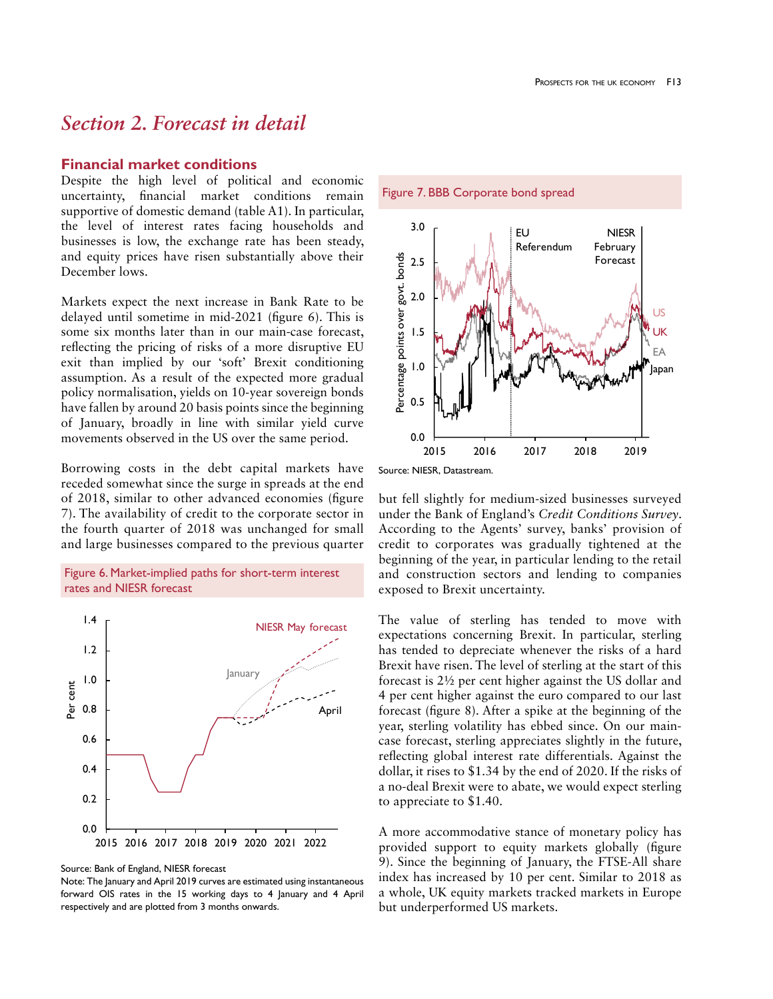# *Section 2. Forecast in detail*

### **Financial market conditions**

Despite the high level of political and economic uncertainty, financial market conditions remain supportive of domestic demand (table A1). In particular, the level of interest rates facing households and businesses is low, the exchange rate has been steady, and equity prices have risen substantially above their December lows.

Markets expect the next increase in Bank Rate to be delayed until sometime in mid-2021 (figure 6). This is some six months later than in our main-case forecast, reflecting the pricing of risks of a more disruptive EU exit than implied by our 'soft' Brexit conditioning assumption. As a result of the expected more gradual policy normalisation, yields on 10-year sovereign bonds have fallen by around 20 basis points since the beginning of January, broadly in line with similar yield curve movements observed in the US over the same period.

Borrowing costs in the debt capital markets have receded somewhat since the surge in spreads at the end of 2018, similar to other advanced economies (figure 7). The availability of credit to the corporate sector in the fourth quarter of 2018 was unchanged for small and large businesses compared to the previous quarter





Source: Bank of England, NIESR forecast

Note: The January and April 2019 curves are estimated using instantaneous forward OIS rates in the 15 working days to 4 January and 4 April respectively and are plotted from 3 months onwards.

Figure 7. BBB Corporate bond spread



Source: NIESR, Datastream.

but fell slightly for medium-sized businesses surveyed under the Bank of England's *Credit Conditions Survey*. According to the Agents' survey, banks' provision of credit to corporates was gradually tightened at the beginning of the year, in particular lending to the retail and construction sectors and lending to companies exposed to Brexit uncertainty.

The value of sterling has tended to move with expectations concerning Brexit. In particular, sterling has tended to depreciate whenever the risks of a hard Brexit have risen. The level of sterling at the start of this forecast is 2½ per cent higher against the US dollar and 4 per cent higher against the euro compared to our last forecast (figure 8). After a spike at the beginning of the year, sterling volatility has ebbed since. On our maincase forecast, sterling appreciates slightly in the future, reflecting global interest rate differentials. Against the dollar, it rises to \$1.34 by the end of 2020. If the risks of a no-deal Brexit were to abate, we would expect sterling to appreciate to \$1.40.

A more accommodative stance of monetary policy has provided support to equity markets globally (figure 9). Since the beginning of January, the FTSE-All share index has increased by 10 per cent. Similar to 2018 as a whole, UK equity markets tracked markets in Europe but underperformed US markets.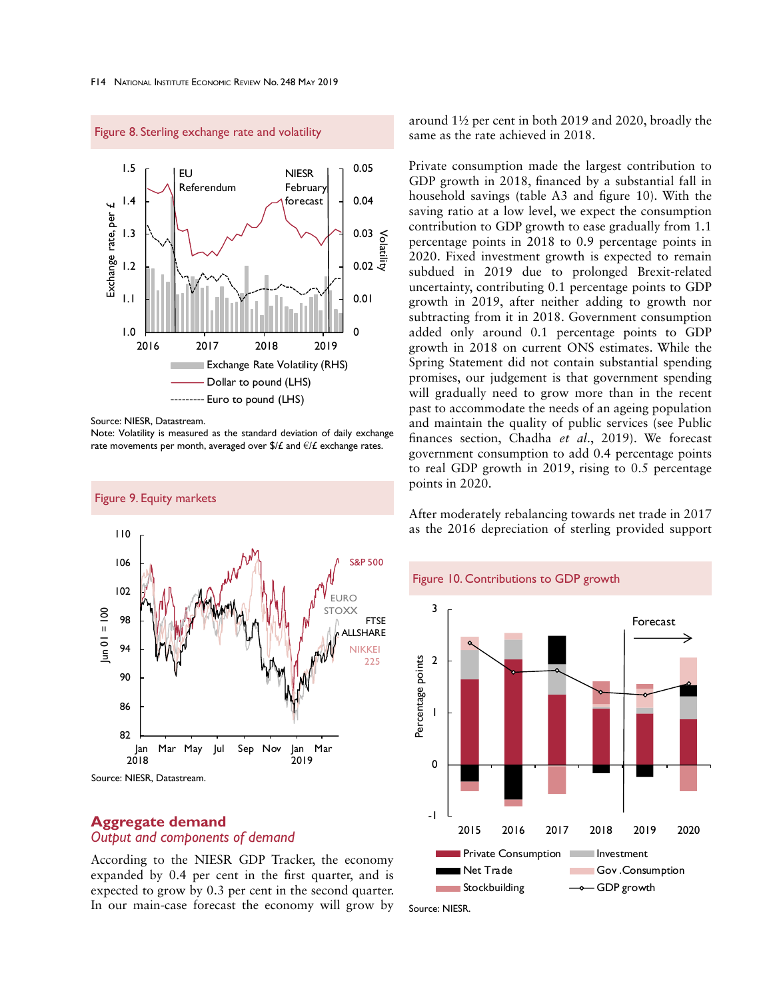

Figure 8. Sterling exchange rate and volatility

Source: NIESR, Datastream.

Note: Volatility is measured as the standard deviation of daily exchange rate movements per month, averaged over  $\frac{f}{f}$  and  $\frac{f}{f}$  exchange rates.



# **Aggregate demand**  *Output and components of demand*

According to the NIESR GDP Tracker, the economy expanded by 0.4 per cent in the first quarter, and is expected to grow by 0.3 per cent in the second quarter. In our main-case forecast the economy will grow by

around 1½ per cent in both 2019 and 2020, broadly the same as the rate achieved in 2018.

Private consumption made the largest contribution to GDP growth in 2018, financed by a substantial fall in household savings (table A3 and figure 10). With the saving ratio at a low level, we expect the consumption contribution to GDP growth to ease gradually from 1.1 percentage points in 2018 to 0.9 percentage points in 2020. Fixed investment growth is expected to remain subdued in 2019 due to prolonged Brexit-related uncertainty, contributing 0.1 percentage points to GDP growth in 2019, after neither adding to growth nor subtracting from it in 2018. Government consumption added only around 0.1 percentage points to GDP growth in 2018 on current ONS estimates. While the Spring Statement did not contain substantial spending promises, our judgement is that government spending will gradually need to grow more than in the recent past to accommodate the needs of an ageing population and maintain the quality of public services (see Public finances section, Chadha *et al*., 2019). We forecast government consumption to add 0.4 percentage points to real GDP growth in 2019, rising to 0.5 percentage points in 2020.

After moderately rebalancing towards net trade in 2017 as the 2016 depreciation of sterling provided support

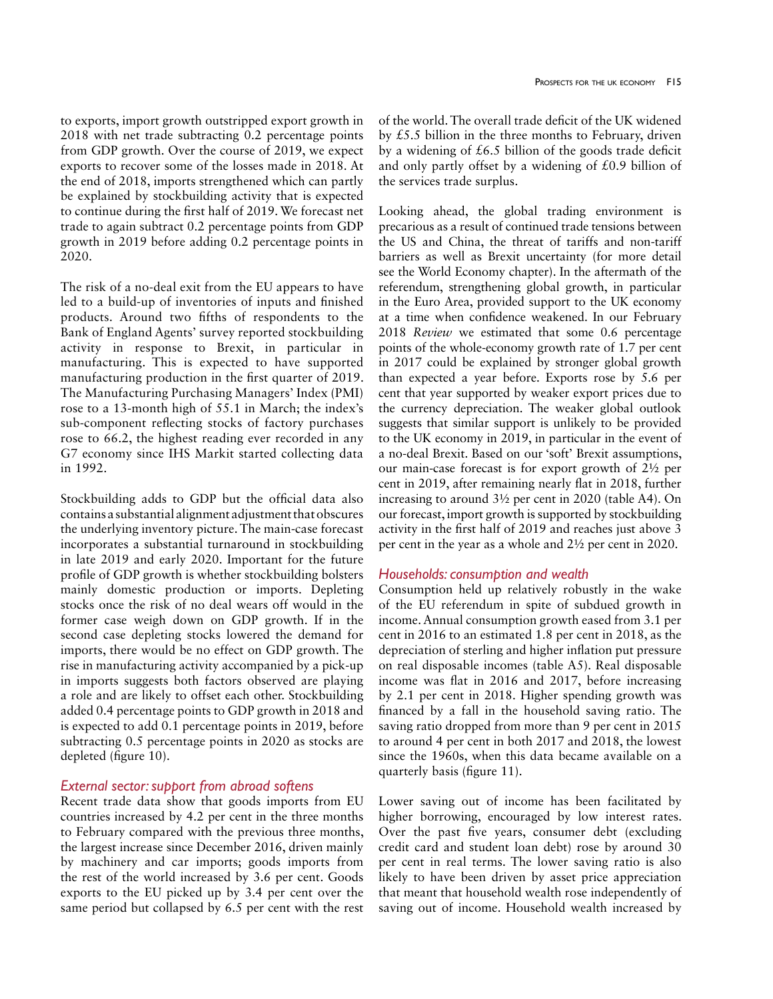to exports, import growth outstripped export growth in 2018 with net trade subtracting 0.2 percentage points from GDP growth. Over the course of 2019, we expect exports to recover some of the losses made in 2018. At the end of 2018, imports strengthened which can partly be explained by stockbuilding activity that is expected to continue during the first half of 2019. We forecast net trade to again subtract 0.2 percentage points from GDP growth in 2019 before adding 0.2 percentage points in 2020.

The risk of a no-deal exit from the EU appears to have led to a build-up of inventories of inputs and finished products. Around two fifths of respondents to the Bank of England Agents' survey reported stockbuilding activity in response to Brexit, in particular in manufacturing. This is expected to have supported manufacturing production in the first quarter of 2019. The Manufacturing Purchasing Managers' Index (PMI) rose to a 13-month high of 55.1 in March; the index's sub-component reflecting stocks of factory purchases rose to 66.2, the highest reading ever recorded in any G7 economy since IHS Markit started collecting data in 1992.

Stockbuilding adds to GDP but the official data also contains a substantial alignment adjustment that obscures the underlying inventory picture. The main-case forecast incorporates a substantial turnaround in stockbuilding in late 2019 and early 2020. Important for the future profile of GDP growth is whether stockbuilding bolsters mainly domestic production or imports. Depleting stocks once the risk of no deal wears off would in the former case weigh down on GDP growth. If in the second case depleting stocks lowered the demand for imports, there would be no effect on GDP growth. The rise in manufacturing activity accompanied by a pick-up in imports suggests both factors observed are playing a role and are likely to offset each other. Stockbuilding added 0.4 percentage points to GDP growth in 2018 and is expected to add 0.1 percentage points in 2019, before subtracting 0.5 percentage points in 2020 as stocks are depleted (figure 10).

## *External sector: support from abroad softens*

Recent trade data show that goods imports from EU countries increased by 4.2 per cent in the three months to February compared with the previous three months, the largest increase since December 2016, driven mainly by machinery and car imports; goods imports from the rest of the world increased by 3.6 per cent. Goods exports to the EU picked up by 3.4 per cent over the same period but collapsed by 6.5 per cent with the rest of the world. The overall trade deficit of the UK widened by £5.5 billion in the three months to February, driven by a widening of  $£6.5$  billion of the goods trade deficit and only partly offset by a widening of  $£0.9$  billion of the services trade surplus.

Looking ahead, the global trading environment is precarious as a result of continued trade tensions between the US and China, the threat of tariffs and non-tariff barriers as well as Brexit uncertainty (for more detail see the World Economy chapter). In the aftermath of the referendum, strengthening global growth, in particular in the Euro Area, provided support to the UK economy at a time when confidence weakened. In our February 2018 *Review* we estimated that some 0.6 percentage points of the whole-economy growth rate of 1.7 per cent in 2017 could be explained by stronger global growth than expected a year before. Exports rose by 5.6 per cent that year supported by weaker export prices due to the currency depreciation. The weaker global outlook suggests that similar support is unlikely to be provided to the UK economy in 2019, in particular in the event of a no-deal Brexit. Based on our 'soft' Brexit assumptions, our main-case forecast is for export growth of 2½ per cent in 2019, after remaining nearly flat in 2018, further increasing to around 3½ per cent in 2020 (table A4). On our forecast, import growth is supported by stockbuilding activity in the first half of 2019 and reaches just above 3 per cent in the year as a whole and 2½ per cent in 2020.

### *Households: consumption and wealth*

Consumption held up relatively robustly in the wake of the EU referendum in spite of subdued growth in income. Annual consumption growth eased from 3.1 per cent in 2016 to an estimated 1.8 per cent in 2018, as the depreciation of sterling and higher inflation put pressure on real disposable incomes (table A5). Real disposable income was flat in 2016 and 2017, before increasing by 2.1 per cent in 2018. Higher spending growth was financed by a fall in the household saving ratio. The saving ratio dropped from more than 9 per cent in 2015 to around 4 per cent in both 2017 and 2018, the lowest since the 1960s, when this data became available on a quarterly basis (figure 11).

Lower saving out of income has been facilitated by higher borrowing, encouraged by low interest rates. Over the past five years, consumer debt (excluding credit card and student loan debt) rose by around 30 per cent in real terms. The lower saving ratio is also likely to have been driven by asset price appreciation that meant that household wealth rose independently of saving out of income. Household wealth increased by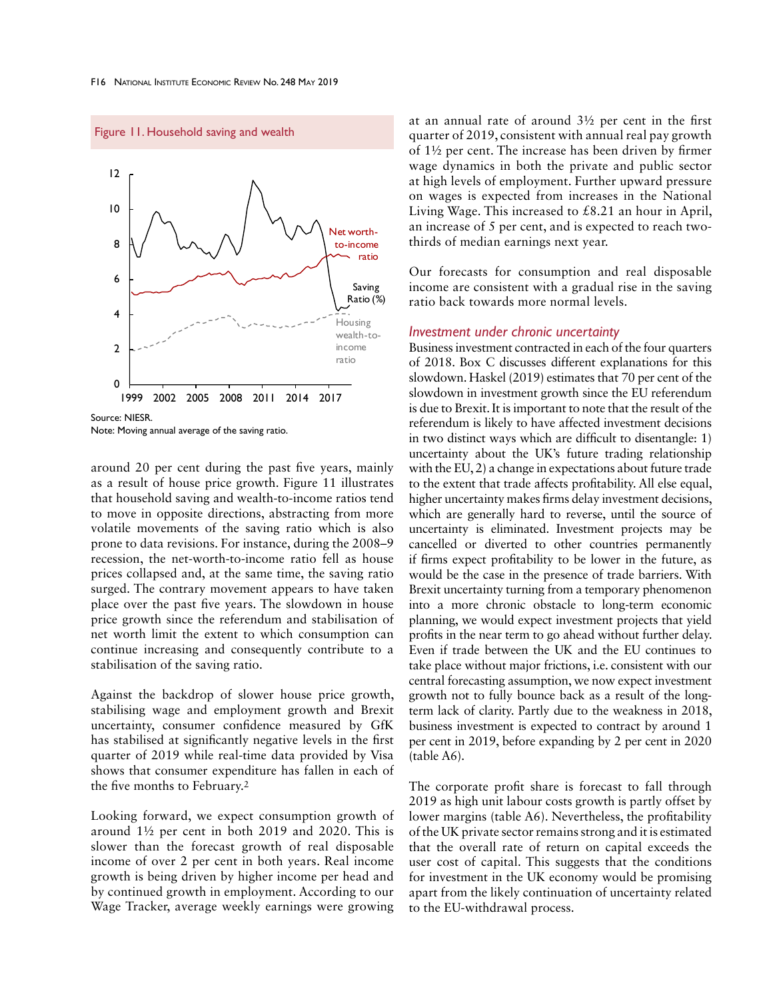Figure 11. Household saving and wealth



Note: Moving annual average of the saving ratio.

around 20 per cent during the past five years, mainly as a result of house price growth. Figure 11 illustrates that household saving and wealth-to-income ratios tend to move in opposite directions, abstracting from more volatile movements of the saving ratio which is also prone to data revisions. For instance, during the 2008–9 recession, the net-worth-to-income ratio fell as house prices collapsed and, at the same time, the saving ratio surged. The contrary movement appears to have taken place over the past five years. The slowdown in house price growth since the referendum and stabilisation of net worth limit the extent to which consumption can continue increasing and consequently contribute to a stabilisation of the saving ratio.

Against the backdrop of slower house price growth, stabilising wage and employment growth and Brexit uncertainty, consumer confidence measured by GfK has stabilised at significantly negative levels in the first quarter of 2019 while real-time data provided by Visa shows that consumer expenditure has fallen in each of the five months to February.2

Looking forward, we expect consumption growth of around 1½ per cent in both 2019 and 2020. This is slower than the forecast growth of real disposable income of over 2 per cent in both years. Real income growth is being driven by higher income per head and by continued growth in employment. According to our Wage Tracker, average weekly earnings were growing at an annual rate of around 3½ per cent in the first quarter of 2019, consistent with annual real pay growth of 1½ per cent. The increase has been driven by firmer wage dynamics in both the private and public sector at high levels of employment. Further upward pressure on wages is expected from increases in the National Living Wage. This increased to £8.21 an hour in April, an increase of 5 per cent, and is expected to reach twothirds of median earnings next year.

Our forecasts for consumption and real disposable income are consistent with a gradual rise in the saving ratio back towards more normal levels.

#### *Investment under chronic uncertainty*

Business investment contracted in each of the four quarters of 2018. Box C discusses different explanations for this slowdown. Haskel (2019) estimates that 70 per cent of the slowdown in investment growth since the EU referendum is due to Brexit. It is important to note that the result of the referendum is likely to have affected investment decisions in two distinct ways which are difficult to disentangle: 1) uncertainty about the UK's future trading relationship with the EU, 2) a change in expectations about future trade to the extent that trade affects profitability. All else equal, higher uncertainty makes firms delay investment decisions, which are generally hard to reverse, until the source of uncertainty is eliminated. Investment projects may be cancelled or diverted to other countries permanently if firms expect profitability to be lower in the future, as would be the case in the presence of trade barriers. With Brexit uncertainty turning from a temporary phenomenon into a more chronic obstacle to long-term economic planning, we would expect investment projects that yield profits in the near term to go ahead without further delay. Even if trade between the UK and the EU continues to take place without major frictions, i.e. consistent with our central forecasting assumption, we now expect investment growth not to fully bounce back as a result of the longterm lack of clarity. Partly due to the weakness in 2018, business investment is expected to contract by around 1 per cent in 2019, before expanding by 2 per cent in 2020 (table A6).

The corporate profit share is forecast to fall through 2019 as high unit labour costs growth is partly offset by lower margins (table A6). Nevertheless, the profitability of the UK private sector remains strong and it is estimated that the overall rate of return on capital exceeds the user cost of capital. This suggests that the conditions for investment in the UK economy would be promising apart from the likely continuation of uncertainty related to the EU-withdrawal process.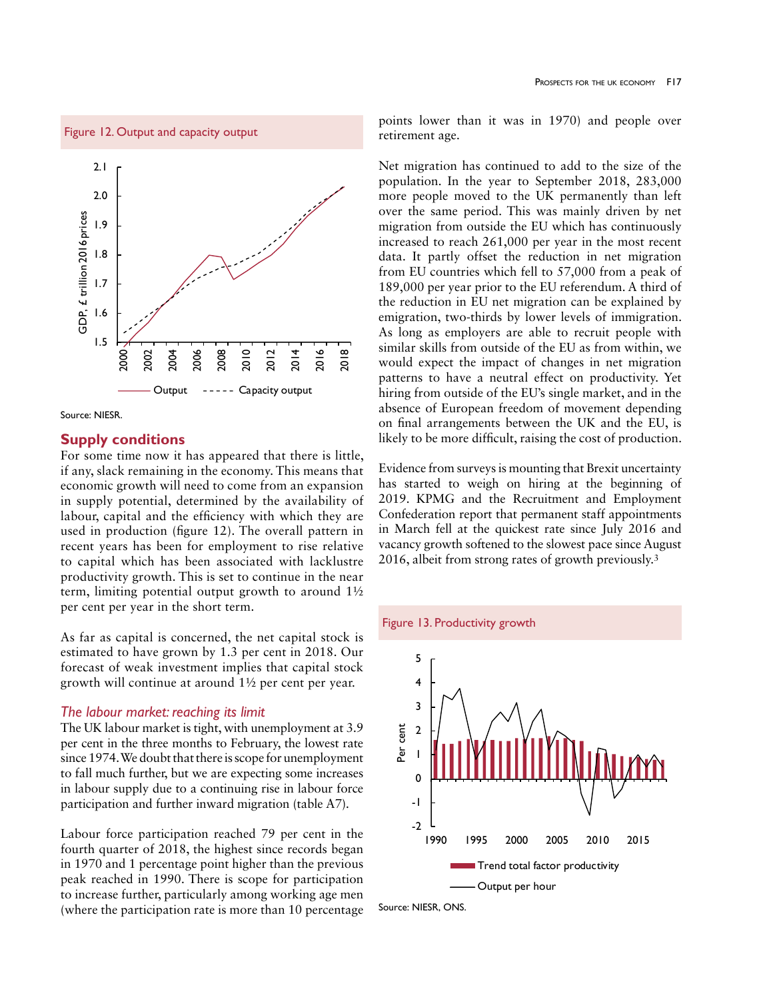



Source: NIESR.

# **Supply conditions**

For some time now it has appeared that there is little, if any, slack remaining in the economy. This means that economic growth will need to come from an expansion in supply potential, determined by the availability of labour, capital and the efficiency with which they are used in production (figure 12). The overall pattern in recent years has been for employment to rise relative to capital which has been associated with lacklustre productivity growth. This is set to continue in the near term, limiting potential output growth to around 1½ per cent per year in the short term.

As far as capital is concerned, the net capital stock is estimated to have grown by 1.3 per cent in 2018. Our forecast of weak investment implies that capital stock growth will continue at around 1½ per cent per year.

#### *The labour market: reaching its limit*

The UK labour market is tight, with unemployment at 3.9 per cent in the three months to February, the lowest rate since 1974. We doubt that there is scope for unemployment to fall much further, but we are expecting some increases in labour supply due to a continuing rise in labour force participation and further inward migration (table A7).

Labour force participation reached 79 per cent in the fourth quarter of 2018, the highest since records began in 1970 and 1 percentage point higher than the previous peak reached in 1990. There is scope for participation to increase further, particularly among working age men (where the participation rate is more than 10 percentage points lower than it was in 1970) and people over retirement age.

Net migration has continued to add to the size of the population. In the year to September 2018, 283,000 more people moved to the UK permanently than left over the same period. This was mainly driven by net migration from outside the EU which has continuously increased to reach 261,000 per year in the most recent data. It partly offset the reduction in net migration from EU countries which fell to 57,000 from a peak of 189,000 per year prior to the EU referendum. A third of the reduction in EU net migration can be explained by emigration, two-thirds by lower levels of immigration. As long as employers are able to recruit people with similar skills from outside of the EU as from within, we would expect the impact of changes in net migration patterns to have a neutral effect on productivity. Yet hiring from outside of the EU's single market, and in the absence of European freedom of movement depending on final arrangements between the UK and the EU, is likely to be more difficult, raising the cost of production.

Evidence from surveys is mounting that Brexit uncertainty has started to weigh on hiring at the beginning of 2019. KPMG and the Recruitment and Employment Confederation report that permanent staff appointments in March fell at the quickest rate since July 2016 and vacancy growth softened to the slowest pace since August 2016, albeit from strong rates of growth previously.3





Source: NIESR, ONS.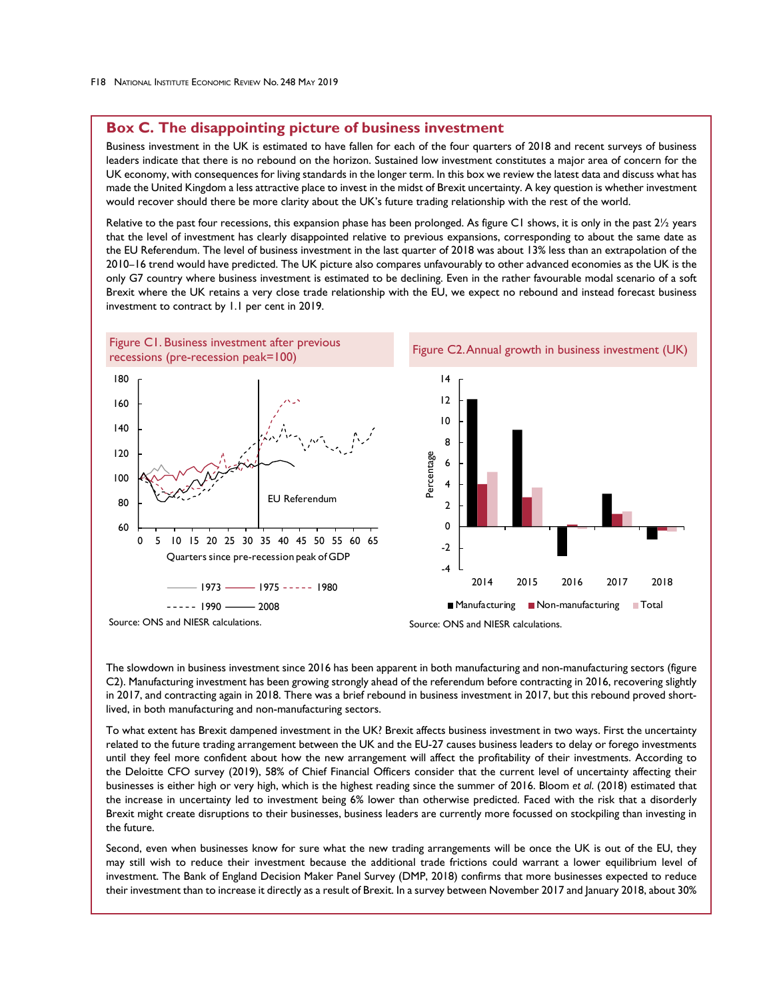# **Box C. The disappointing picture of business investment**

Business investment in the UK is estimated to have fallen for each of the four quarters of 2018 and recent surveys of business leaders indicate that there is no rebound on the horizon. Sustained low investment constitutes a major area of concern for the UK economy, with consequences for living standards in the longer term. In this box we review the latest data and discuss what has made the United Kingdom a less attractive place to invest in the midst of Brexit uncertainty. A key question is whether investment would recover should there be more clarity about the UK's future trading relationship with the rest of the world.

Relative to the past four recessions, this expansion phase has been prolonged. As figure C1 shows, it is only in the past 21/2 years that the level of investment has clearly disappointed relative to previous expansions, corresponding to about the same date as the EU Referendum. The level of business investment in the last quarter of 2018 was about 13% less than an extrapolation of the 2010–16 trend would have predicted. The UK picture also compares unfavourably to other advanced economies as the UK is the only G7 country where business investment is estimated to be declining. Even in the rather favourable modal scenario of a soft Brexit where the UK retains a very close trade relationship with the EU, we expect no rebound and instead forecast business investment to contract by 1.1 per cent in 2019.



The slowdown in business investment since 2016 has been apparent in both manufacturing and non-manufacturing sectors (figure C2). Manufacturing investment has been growing strongly ahead of the referendum before contracting in 2016, recovering slightly in 2017, and contracting again in 2018. There was a brief rebound in business investment in 2017, but this rebound proved shortlived, in both manufacturing and non-manufacturing sectors.

To what extent has Brexit dampened investment in the UK? Brexit affects business investment in two ways. First the uncertainty related to the future trading arrangement between the UK and the EU-27 causes business leaders to delay or forego investments until they feel more confident about how the new arrangement will affect the profitability of their investments. According to the Deloitte CFO survey (2019), 58% of Chief Financial Officers consider that the current level of uncertainty affecting their businesses is either high or very high, which is the highest reading since the summer of 2016. Bloom *et al*. (2018) estimated that the increase in uncertainty led to investment being 6% lower than otherwise predicted. Faced with the risk that a disorderly Brexit might create disruptions to their businesses, business leaders are currently more focussed on stockpiling than investing in the future.

Second, even when businesses know for sure what the new trading arrangements will be once the UK is out of the EU, they may still wish to reduce their investment because the additional trade frictions could warrant a lower equilibrium level of investment. The Bank of England Decision Maker Panel Survey (DMP, 2018) confirms that more businesses expected to reduce their investment than to increase it directly as a result of Brexit. In a survey between November 2017 and January 2018, about 30%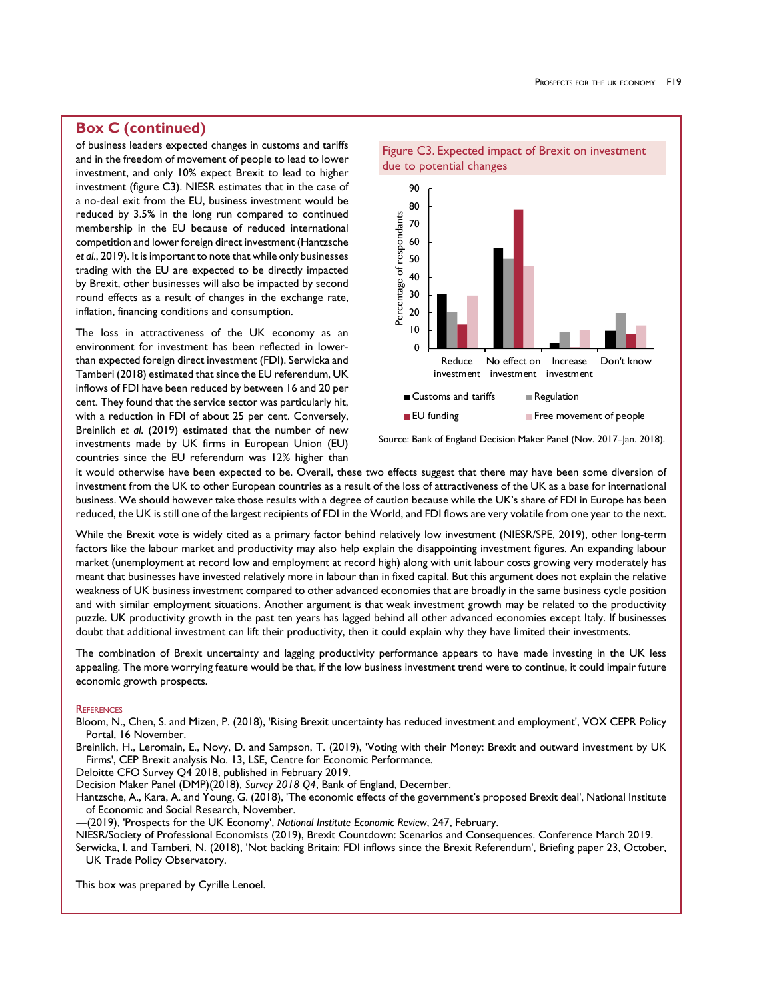# **Box C (continued)**

of business leaders expected changes in customs and tariffs and in the freedom of movement of people to lead to lower investment, and only 10% expect Brexit to lead to higher investment (figure C3). NIESR estimates that in the case of a no-deal exit from the EU, business investment would be reduced by 3.5% in the long run compared to continued membership in the EU because of reduced international competition and lower foreign direct investment (Hantzsche *et al*., 2019). It is important to note that while only businesses trading with the EU are expected to be directly impacted by Brexit, other businesses will also be impacted by second round effects as a result of changes in the exchange rate, inflation, financing conditions and consumption.

The loss in attractiveness of the UK economy as an environment for investment has been reflected in lowerthan expected foreign direct investment (FDI). Serwicka and Tamberi (2018) estimated that since the EU referendum, UK inflows of FDI have been reduced by between 16 and 20 per cent. They found that the service sector was particularly hit, with a reduction in FDI of about 25 per cent. Conversely, Breinlich *et al*. (2019) estimated that the number of new investments made by UK firms in European Union (EU) countries since the EU referendum was 12% higher than



Source: Bank of England Decision Maker Panel (Nov. 2017-Jan. 2018).

it would otherwise have been expected to be. Overall, these two effects suggest that there may have been some diversion of investment from the UK to other European countries as a result of the loss of attractiveness of the UK as a base for international business. We should however take those results with a degree of caution because while the UK's share of FDI in Europe has been reduced, the UK is still one of the largest recipients of FDI in the World, and FDI flows are very volatile from one year to the next.

While the Brexit vote is widely cited as a primary factor behind relatively low investment (NIESR/SPE, 2019), other long-term factors like the labour market and productivity may also help explain the disappointing investment figures. An expanding labour market (unemployment at record low and employment at record high) along with unit labour costs growing very moderately has meant that businesses have invested relatively more in labour than in fixed capital. But this argument does not explain the relative weakness of UK business investment compared to other advanced economies that are broadly in the same business cycle position and with similar employment situations. Another argument is that weak investment growth may be related to the productivity puzzle. UK productivity growth in the past ten years has lagged behind all other advanced economies except Italy. If businesses doubt that additional investment can lift their productivity, then it could explain why they have limited their investments.

The combination of Brexit uncertainty and lagging productivity performance appears to have made investing in the UK less appealing. The more worrying feature would be that, if the low business investment trend were to continue, it could impair future economic growth prospects.

#### **REFERENCES**

Bloom, N., Chen, S. and Mizen, P. (2018), 'Rising Brexit uncertainty has reduced investment and employment', VOX CEPR Policy Portal, 16 November.

Breinlich, H., Leromain, E., Novy, D. and Sampson, T. (2019), 'Voting with their Money: Brexit and outward investment by UK Firms', CEP Brexit analysis No. 13, LSE, Centre for Economic Performance.

Deloitte CFO Survey Q4 2018, published in February 2019.

Decision Maker Panel (DMP)(2018), *Survey 2018 Q4*, Bank of England, December.

Hantzsche, A., Kara, A. and Young, G. (2018), 'The economic effects of the government's proposed Brexit deal', National Institute of Economic and Social Research, November.

—(2019), 'Prospects for the UK Economy', *National Institute Economic Review*, 247, February.

NIESR/Society of Professional Economists (2019), Brexit Countdown: Scenarios and Consequences. Conference March 2019. Serwicka, I. and Tamberi, N. (2018), 'Not backing Britain: FDI inflows since the Brexit Referendum', Briefing paper 23, October, UK Trade Policy Observatory.

This box was prepared by Cyrille Lenoel.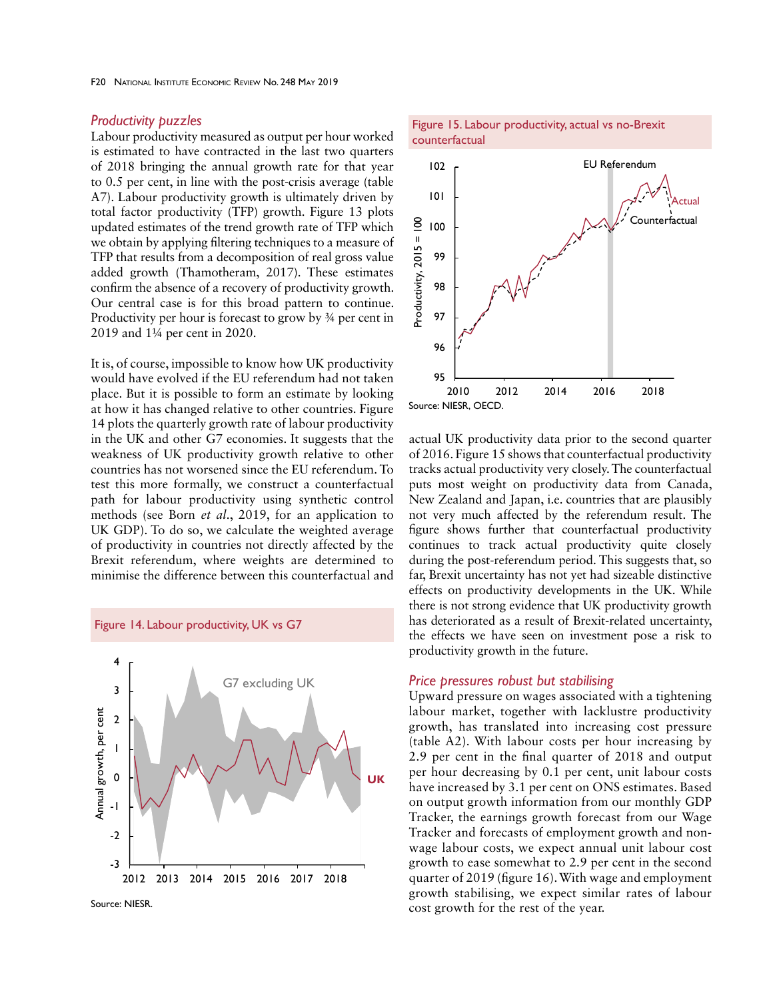# *Productivity puzzles*

Labour productivity measured as output per hour worked is estimated to have contracted in the last two quarters of 2018 bringing the annual growth rate for that year to 0.5 per cent, in line with the post-crisis average (table A7). Labour productivity growth is ultimately driven by total factor productivity (TFP) growth. Figure 13 plots updated estimates of the trend growth rate of TFP which we obtain by applying filtering techniques to a measure of TFP that results from a decomposition of real gross value added growth (Thamotheram, 2017). These estimates confirm the absence of a recovery of productivity growth. Our central case is for this broad pattern to continue. Productivity per hour is forecast to grow by ¾ per cent in 2019 and 1¼ per cent in 2020.

It is, of course, impossible to know how UK productivity would have evolved if the EU referendum had not taken place. But it is possible to form an estimate by looking at how it has changed relative to other countries. Figure 14 plots the quarterly growth rate of labour productivity in the UK and other G7 economies. It suggests that the weakness of UK productivity growth relative to other countries has not worsened since the EU referendum. To test this more formally, we construct a counterfactual path for labour productivity using synthetic control methods (see Born *et al*., 2019, for an application to UK GDP). To do so, we calculate the weighted average of productivity in countries not directly affected by the Brexit referendum, where weights are determined to minimise the difference between this counterfactual and



Figure 14. Labour productivity, UK vs G7



Figure 15. Labour productivity, actual vs no-Brexit



actual UK productivity data prior to the second quarter of 2016. Figure 15 shows that counterfactual productivity tracks actual productivity very closely. The counterfactual puts most weight on productivity data from Canada, New Zealand and Japan, i.e. countries that are plausibly not very much affected by the referendum result. The figure shows further that counterfactual productivity continues to track actual productivity quite closely during the post-referendum period. This suggests that, so far, Brexit uncertainty has not yet had sizeable distinctive effects on productivity developments in the UK. While there is not strong evidence that UK productivity growth has deteriorated as a result of Brexit-related uncertainty, the effects we have seen on investment pose a risk to productivity growth in the future.

## *Price pressures robust but stabilising*

Upward pressure on wages associated with a tightening labour market, together with lacklustre productivity growth, has translated into increasing cost pressure (table A2). With labour costs per hour increasing by 2.9 per cent in the final quarter of 2018 and output per hour decreasing by 0.1 per cent, unit labour costs have increased by 3.1 per cent on ONS estimates. Based on output growth information from our monthly GDP Tracker, the earnings growth forecast from our Wage Tracker and forecasts of employment growth and nonwage labour costs, we expect annual unit labour cost growth to ease somewhat to 2.9 per cent in the second quarter of 2019 (figure 16). With wage and employment growth stabilising, we expect similar rates of labour cost growth for the rest of the year.

Source: NIESR.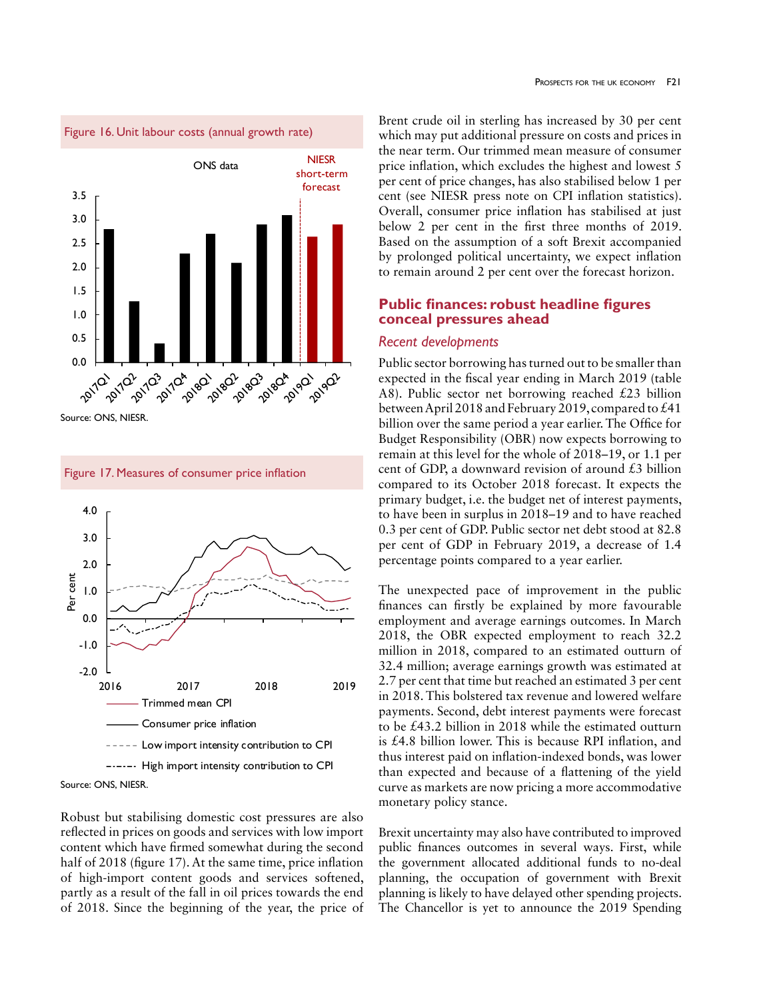

Source: ONS, NIESR.



Figure 17. Measures of consumer price inflation



Robust but stabilising domestic cost pressures are also reflected in prices on goods and services with low import content which have firmed somewhat during the second half of 2018 (figure 17). At the same time, price inflation of high-import content goods and services softened, partly as a result of the fall in oil prices towards the end of 2018. Since the beginning of the year, the price of

Brent crude oil in sterling has increased by 30 per cent which may put additional pressure on costs and prices in the near term. Our trimmed mean measure of consumer price inflation, which excludes the highest and lowest 5 per cent of price changes, has also stabilised below 1 per cent (see NIESR press note on CPI inflation statistics). Overall, consumer price inflation has stabilised at just below 2 per cent in the first three months of 2019. Based on the assumption of a soft Brexit accompanied by prolonged political uncertainty, we expect inflation to remain around 2 per cent over the forecast horizon.

# **Public finances: robust headline figures conceal pressures ahead**

## *Recent developments*

Public sector borrowing has turned out to be smaller than expected in the fiscal year ending in March 2019 (table A8). Public sector net borrowing reached £23 billion between April 2018 and February 2019, compared to £41 billion over the same period a year earlier. The Office for Budget Responsibility (OBR) now expects borrowing to remain at this level for the whole of 2018–19, or 1.1 per cent of GDP, a downward revision of around  $\pounds$ 3 billion compared to its October 2018 forecast. It expects the primary budget, i.e. the budget net of interest payments, to have been in surplus in 2018–19 and to have reached 0.3 per cent of GDP. Public sector net debt stood at 82.8 per cent of GDP in February 2019, a decrease of 1.4 percentage points compared to a year earlier.

The unexpected pace of improvement in the public finances can firstly be explained by more favourable employment and average earnings outcomes. In March 2018, the OBR expected employment to reach 32.2 million in 2018, compared to an estimated outturn of 32.4 million; average earnings growth was estimated at 2.7 per cent that time but reached an estimated 3 per cent in 2018. This bolstered tax revenue and lowered welfare payments. Second, debt interest payments were forecast to be £43.2 billion in 2018 while the estimated outturn is £4.8 billion lower. This is because RPI inflation, and thus interest paid on inflation-indexed bonds, was lower than expected and because of a flattening of the yield curve as markets are now pricing a more accommodative monetary policy stance.

Brexit uncertainty may also have contributed to improved public finances outcomes in several ways. First, while the government allocated additional funds to no-deal planning, the occupation of government with Brexit planning is likely to have delayed other spending projects. The Chancellor is yet to announce the 2019 Spending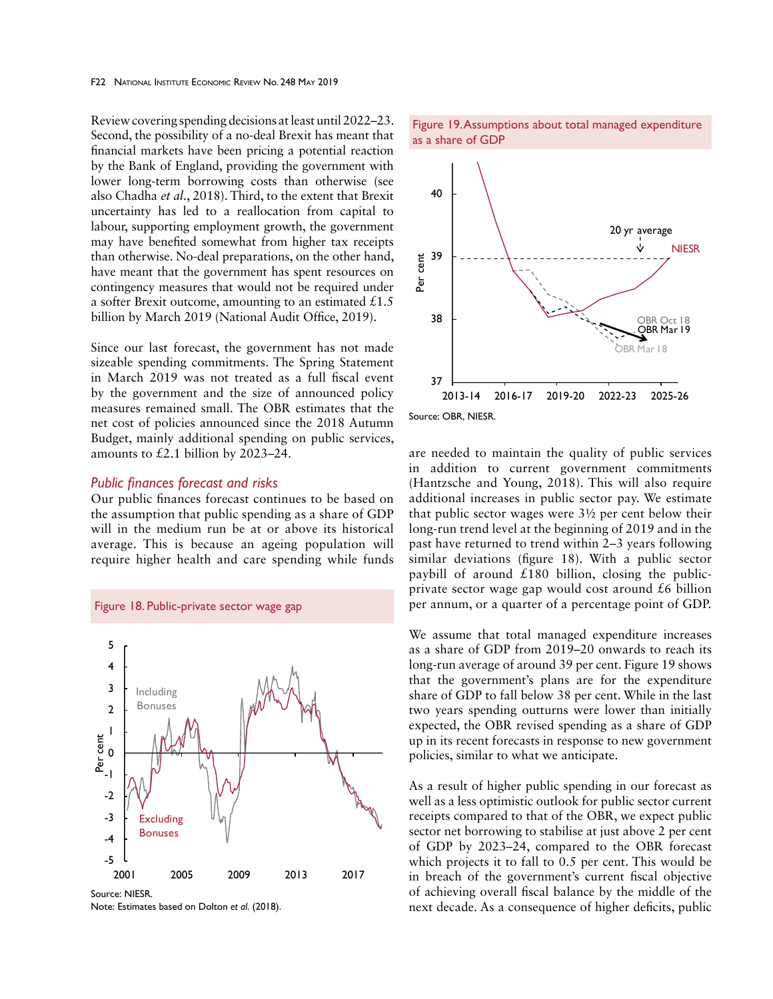Review covering spending decisions at least until 2022–23. Second, the possibility of a no-deal Brexit has meant that financial markets have been pricing a potential reaction by the Bank of England, providing the government with lower long-term borrowing costs than otherwise (see also Chadha *et al*., 2018). Third, to the extent that Brexit uncertainty has led to a reallocation from capital to labour, supporting employment growth, the government may have benefited somewhat from higher tax receipts than otherwise. No-deal preparations, on the other hand, have meant that the government has spent resources on contingency measures that would not be required under a softer Brexit outcome, amounting to an estimated  $\text{\pounds}1.5$ billion by March 2019 (National Audit Office, 2019).

Since our last forecast, the government has not made sizeable spending commitments. The Spring Statement in March 2019 was not treated as a full fiscal event by the government and the size of announced policy measures remained small. The OBR estimates that the net cost of policies announced since the 2018 Autumn Budget, mainly additional spending on public services, amounts to £2.1 billion by 2023–24.

### *Public finances forecast and risks*

Our public finances forecast continues to be based on the assumption that public spending as a share of GDP will in the medium run be at or above its historical average. This is because an ageing population will require higher health and care spending while funds



Note: Estimates based on Dolton *et al*. (2018).





Source: OBR, NIESR.

are needed to maintain the quality of public services in addition to current government commitments (Hantzsche and Young, 2018). This will also require additional increases in public sector pay. We estimate that public sector wages were 3½ per cent below their long-run trend level at the beginning of 2019 and in the past have returned to trend within 2–3 years following similar deviations (figure 18). With a public sector paybill of around  $£180$  billion, closing the publicprivate sector wage gap would cost around  $£6$  billion per annum, or a quarter of a percentage point of GDP.

We assume that total managed expenditure increases as a share of GDP from 2019–20 onwards to reach its long-run average of around 39 per cent. Figure 19 shows that the government's plans are for the expenditure share of GDP to fall below 38 per cent. While in the last two years spending outturns were lower than initially expected, the OBR revised spending as a share of GDP up in its recent forecasts in response to new government policies, similar to what we anticipate.

As a result of higher public spending in our forecast as well as a less optimistic outlook for public sector current receipts compared to that of the OBR, we expect public sector net borrowing to stabilise at just above 2 per cent of GDP by 2023–24, compared to the OBR forecast which projects it to fall to 0.5 per cent. This would be in breach of the government's current fiscal objective of achieving overall fiscal balance by the middle of the next decade. As a consequence of higher deficits, public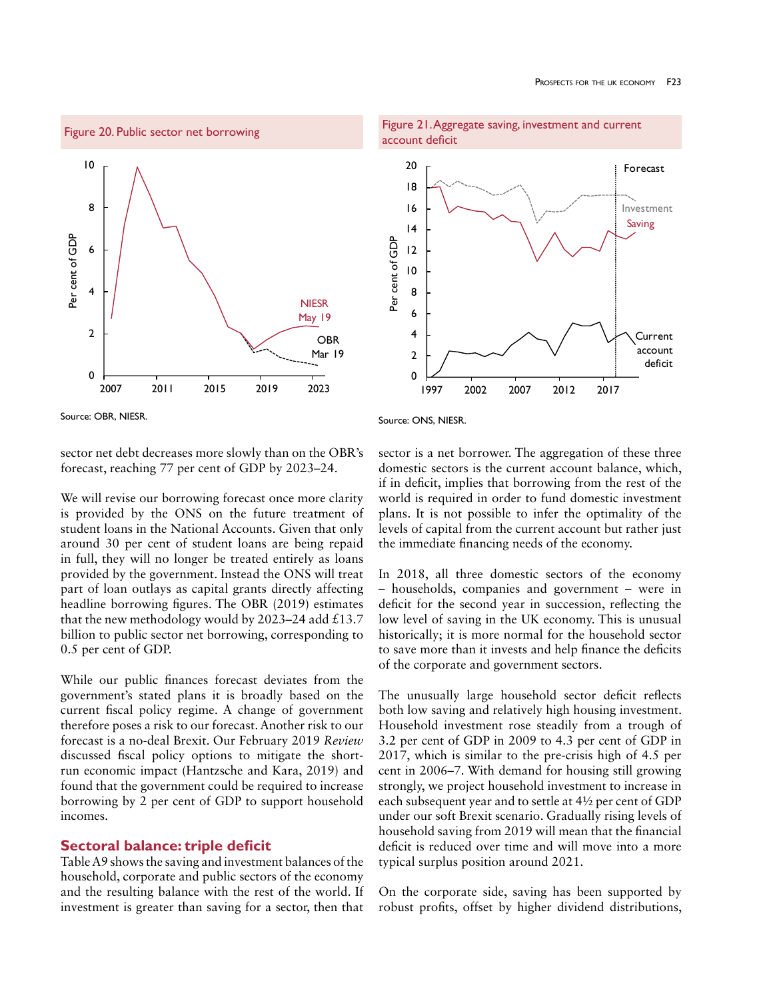



account deficit 20 Forecast18 16 Investment Saving 14 Per cent of GDP Per cent of GDP 12 10 8 6 4 Current account 2 deficit 0 1997 2002 2007 2012 2017

Figure 21. Aggregate saving, investment and current

Source: OBR, NIESR.

sector net debt decreases more slowly than on the OBR's forecast, reaching 77 per cent of GDP by 2023–24.

We will revise our borrowing forecast once more clarity is provided by the ONS on the future treatment of student loans in the National Accounts. Given that only around 30 per cent of student loans are being repaid in full, they will no longer be treated entirely as loans provided by the government. Instead the ONS will treat part of loan outlays as capital grants directly affecting headline borrowing figures. The OBR (2019) estimates that the new methodology would by 2023–24 add £13.7 billion to public sector net borrowing, corresponding to 0.5 per cent of GDP.

While our public finances forecast deviates from the government's stated plans it is broadly based on the current fiscal policy regime. A change of government therefore poses a risk to our forecast. Another risk to our forecast is a no-deal Brexit. Our February 2019 *Review*  discussed fiscal policy options to mitigate the shortrun economic impact (Hantzsche and Kara, 2019) and found that the government could be required to increase borrowing by 2 per cent of GDP to support household incomes.

# **Sectoral balance: triple deficit**

Table A9 shows the saving and investment balances of the household, corporate and public sectors of the economy and the resulting balance with the rest of the world. If investment is greater than saving for a sector, then that

Source: ONS, NIESR.

sector is a net borrower. The aggregation of these three domestic sectors is the current account balance, which, if in deficit, implies that borrowing from the rest of the world is required in order to fund domestic investment plans. It is not possible to infer the optimality of the levels of capital from the current account but rather just the immediate financing needs of the economy.

In 2018, all three domestic sectors of the economy – households, companies and government – were in deficit for the second year in succession, reflecting the low level of saving in the UK economy. This is unusual historically; it is more normal for the household sector to save more than it invests and help finance the deficits of the corporate and government sectors.

The unusually large household sector deficit reflects both low saving and relatively high housing investment. Household investment rose steadily from a trough of 3.2 per cent of GDP in 2009 to 4.3 per cent of GDP in 2017, which is similar to the pre-crisis high of 4.5 per cent in 2006–7. With demand for housing still growing strongly, we project household investment to increase in each subsequent year and to settle at 4½ per cent of GDP under our soft Brexit scenario. Gradually rising levels of household saving from 2019 will mean that the financial deficit is reduced over time and will move into a more typical surplus position around 2021.

On the corporate side, saving has been supported by robust profits, offset by higher dividend distributions,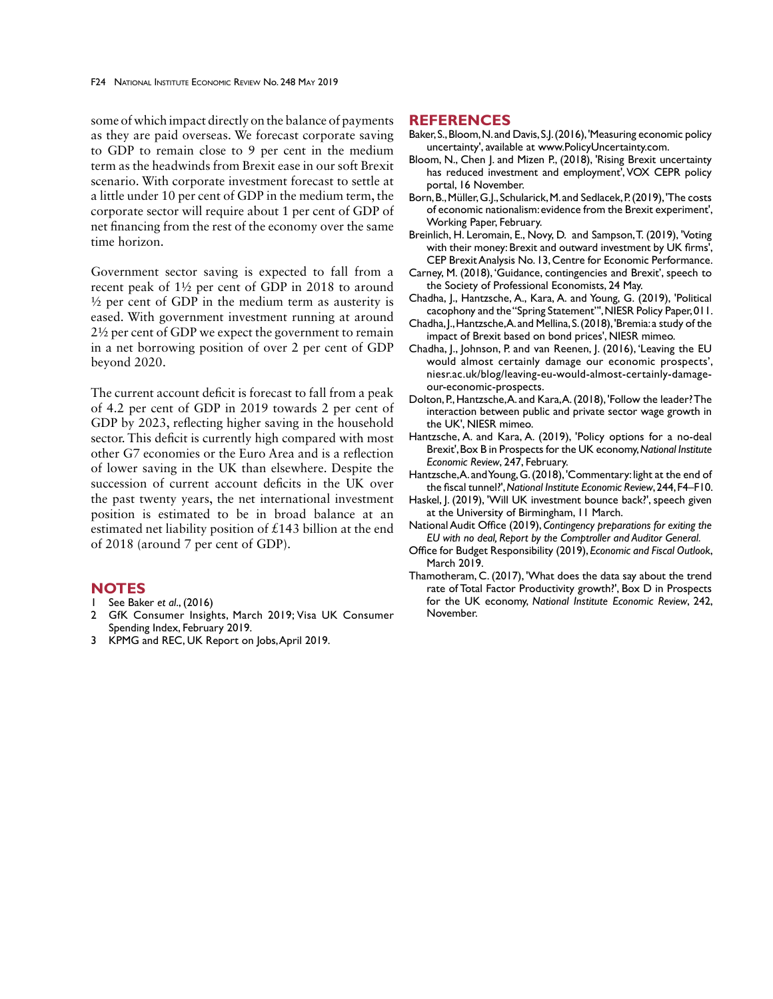some of which impact directly on the balance of payments as they are paid overseas. We forecast corporate saving to GDP to remain close to 9 per cent in the medium term as the headwinds from Brexit ease in our soft Brexit scenario. With corporate investment forecast to settle at a little under 10 per cent of GDP in the medium term, the corporate sector will require about 1 per cent of GDP of net financing from the rest of the economy over the same time horizon.

Government sector saving is expected to fall from a recent peak of 1½ per cent of GDP in 2018 to around  $\frac{1}{2}$  per cent of GDP in the medium term as austerity is eased. With government investment running at around 2½ per cent of GDP we expect the government to remain in a net borrowing position of over 2 per cent of GDP beyond 2020.

The current account deficit is forecast to fall from a peak of 4.2 per cent of GDP in 2019 towards 2 per cent of GDP by 2023, reflecting higher saving in the household sector. This deficit is currently high compared with most other G7 economies or the Euro Area and is a reflection of lower saving in the UK than elsewhere. Despite the succession of current account deficits in the UK over the past twenty years, the net international investment position is estimated to be in broad balance at an estimated net liability position of £143 billion at the end of 2018 (around 7 per cent of GDP).

# **NOTES**

- 1 See Baker *et al*., (2016)
- 2 GfK Consumer Insights, March 2019; Visa UK Consumer Spending Index, February 2019.
- 3 KPMG and REC, UK Report on Jobs, April 2019.

# **REFERENCES**

- Baker, S., Bloom, N. and Davis, S.J. (2016), 'Measuring economic policy uncertainty', available at www.PolicyUncertainty.com.
- Bloom, N., Chen J. and Mizen P., (2018), 'Rising Brexit uncertainty has reduced investment and employment', VOX CEPR policy portal, 16 November.
- Born, B., Müller, G.J., Schularick, M. and Sedlacek, P. (2019), 'The costs of economic nationalism: evidence from the Brexit experiment', Working Paper, February.
- Breinlich, H. Leromain, E., Novy, D. and Sampson, T. (2019), 'Voting with their money: Brexit and outward investment by UK firms', CEP Brexit Analysis No. 13, Centre for Economic Performance.
- Carney, M. (2018), 'Guidance, contingencies and Brexit', speech to the Society of Professional Economists, 24 May.
- Chadha, J., Hantzsche, A., Kara, A. and Young, G. (2019), 'Political cacophony and the "Spring Statement"', NIESR Policy Paper, 011.
- Chadha, J., Hantzsche, A. and Mellina, S. (2018), 'Bremia: a study of the impact of Brexit based on bond prices', NIESR mimeo.
- Chadha, J., Johnson, P. and van Reenen, J. (2016), 'Leaving the EU would almost certainly damage our economic prospects', niesr.ac.uk/blog/leaving-eu-would-almost-certainly-damageour-economic-prospects.
- Dolton, P., Hantzsche, A. and Kara, A. (2018), 'Follow the leader? The interaction between public and private sector wage growth in the UK', NIESR mimeo.
- Hantzsche, A. and Kara, A. (2019), 'Policy options for a no-deal Brexit', Box B in Prospects for the UK economy, *National Institute Economic Review*, 247, February.
- Hantzsche, A. and Young, G. (2018), 'Commentary: light at the end of the fiscal tunnel?', *National Institute Economic Review*, 244, F4–F10.
- Haskel, J. (2019), 'Will UK investment bounce back?', speech given at the University of Birmingham, 11 March.
- National Audit Office (2019), *Contingency preparations for exiting the EU with no deal, Report by the Comptroller and Auditor General*.
- Office for Budget Responsibility (2019), *Economic and Fiscal Outlook*, March 2019.
- Thamotheram, C. (2017), 'What does the data say about the trend rate of Total Factor Productivity growth?', Box D in Prospects for the UK economy, *National Institute Economic Review*, 242, November.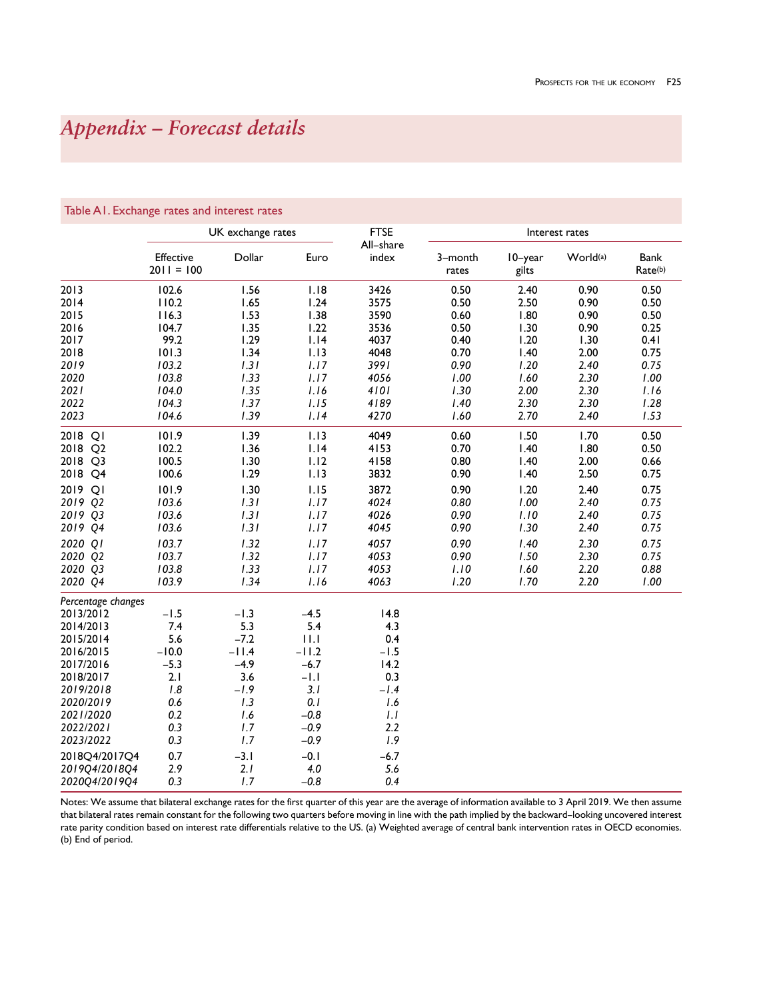# *Appendix – Forecast details*

|                    |                           | UK exchange rates |         | <b>FTSE</b>        |                  |                  | Interest rates       |                 |
|--------------------|---------------------------|-------------------|---------|--------------------|------------------|------------------|----------------------|-----------------|
|                    | Effective<br>$2011 = 100$ | Dollar            | Euro    | All-share<br>index | 3-month<br>rates | 10-year<br>gilts | World <sup>(a)</sup> | Bank<br>Rate(b) |
| 2013               | 102.6                     | 1.56              | 1.18    | 3426               | 0.50             | 2.40             | 0.90                 | 0.50            |
| 2014               | 110.2                     | 1.65              | 1.24    | 3575               | 0.50             | 2.50             | 0.90                 | 0.50            |
| 2015               | 116.3                     | 1.53              | 1.38    | 3590               | 0.60             | 1.80             | 0.90                 | 0.50            |
| 2016               | 104.7                     | 1.35              | 1.22    | 3536               | 0.50             | 1.30             | 0.90                 | 0.25            |
| 2017               | 99.2                      | 1.29              | 1.14    | 4037               | 0.40             | 1.20             | 1.30                 | 0.41            |
| 2018               | 101.3                     | 1.34              | 1.13    | 4048               | 0.70             | 1.40             | 2.00                 | 0.75            |
| 2019               | 103.2                     | 1.31              | 1.17    | 3991               | 0.90             | 1.20             | 2.40                 | 0.75            |
| 2020               | 103.8                     | 1.33              | 1.17    | 4056               | 1.00             | 1.60             | 2.30                 | 1.00            |
| 2021               | 104.0                     | 1.35              | 1.16    | 4101               | 1.30             | 2.00             | 2.30                 | 1.16            |
| 2022               | 104.3                     | 1.37              | 1.15    | 4189               | 1.40             | 2.30             | 2.30                 | 1.28            |
| 2023               | 104.6                     | 1.39              | 1.14    | 4270               | 1.60             | 2.70             | 2.40                 | 1.53            |
| 2018 QI            | 101.9                     | 1.39              | 1.13    | 4049               | 0.60             | 1.50             | 1.70                 | 0.50            |
| 2018 Q2            | 102.2                     | 1.36              | 1.14    | 4153               | 0.70             | 1.40             | 1.80                 | 0.50            |
| 2018 Q3            | 100.5                     | 1.30              | 1.12    | 4158               | 0.80             | 1.40             | 2.00                 | 0.66            |
| 2018 Q4            | 100.6                     | 1.29              | 1.13    | 3832               | 0.90             | 1.40             | 2.50                 | 0.75            |
| 2019 QI            | 101.9                     | 1.30              | 1.15    | 3872               | 0.90             | 1.20             | 2.40                 | 0.75            |
| 2019 02            | 103.6                     | 1.31              | 1.17    | 4024               | 0.80             | 1.00             | 2.40                 | 0.75            |
| 2019 Q3            | 103.6                     | 1.31              | 1.17    | 4026               | 0.90             | 1.10             | 2.40                 | 0.75            |
| 2019 Q4            | 103.6                     | 1.31              | 1.17    | 4045               | 0.90             | 1.30             | 2.40                 | 0.75            |
| 2020 QI            | 103.7                     | 1.32              | 1.17    | 4057               | 0.90             | 1.40             | 2.30                 | 0.75            |
| 2020 Q2            | 103.7                     | 1.32              | 1.17    | 4053               | 0.90             | 1.50             | 2.30                 | 0.75            |
| 2020 Q3            | 103.8                     | 1.33              | 1.17    | 4053               | 1.10             | 1.60             | 2.20                 | 0.88            |
| 2020 Q4            | 103.9                     | 1.34              | 1.16    | 4063               | 1.20             | 1.70             | 2.20                 | 1.00            |
| Percentage changes |                           |                   |         |                    |                  |                  |                      |                 |
| 2013/2012          | $-1.5$                    | $-1.3$            | $-4.5$  | 14.8               |                  |                  |                      |                 |
| 2014/2013          | 7.4                       | 5.3               | 5.4     | 4.3                |                  |                  |                      |                 |
| 2015/2014          | 5.6                       | $-7.2$            | 11.1    | 0.4                |                  |                  |                      |                 |
| 2016/2015          | $-10.0$                   | $-11.4$           | $-11.2$ | $-1.5$             |                  |                  |                      |                 |
| 2017/2016          | $-5.3$                    | $-4.9$            | $-6.7$  | 14.2               |                  |                  |                      |                 |
| 2018/2017          | 2.1                       | 3.6               | $-1.1$  | 0.3                |                  |                  |                      |                 |
| 2019/2018          | 1.8                       | $-1.9$            | 3.1     | $-1.4$             |                  |                  |                      |                 |
| 2020/2019          | 0.6                       | 1.3               | 0.1     | 1.6                |                  |                  |                      |                 |
| 2021/2020          | 0.2                       | 1.6               | $-0.8$  | 1.1                |                  |                  |                      |                 |
| 2022/2021          | 0.3                       | 1.7               | $-0.9$  | 2.2                |                  |                  |                      |                 |
| 2023/2022          | 0.3                       | 1.7               | $-0.9$  | 1.9                |                  |                  |                      |                 |
| 2018Q4/2017Q4      | 0.7                       | $-3.1$            | $-0.1$  | $-6.7$             |                  |                  |                      |                 |
| 2019Q4/2018Q4      | 2.9                       | 2.1               | 4.0     | 5.6                |                  |                  |                      |                 |
| 2020Q4/2019Q4      | 0.3                       | 1.7               | $-0.8$  | 0.4                |                  |                  |                      |                 |

# Table A1. Exchange rates and interest rates

Notes: We assume that bilateral exchange rates for the first quarter of this year are the average of information available to 3 April 2019. We then assume that bilateral rates remain constant for the following two quarters before moving in line with the path implied by the backward–looking uncovered interest rate parity condition based on interest rate differentials relative to the US. (a) Weighted average of central bank intervention rates in OECD economies. (b) End of period.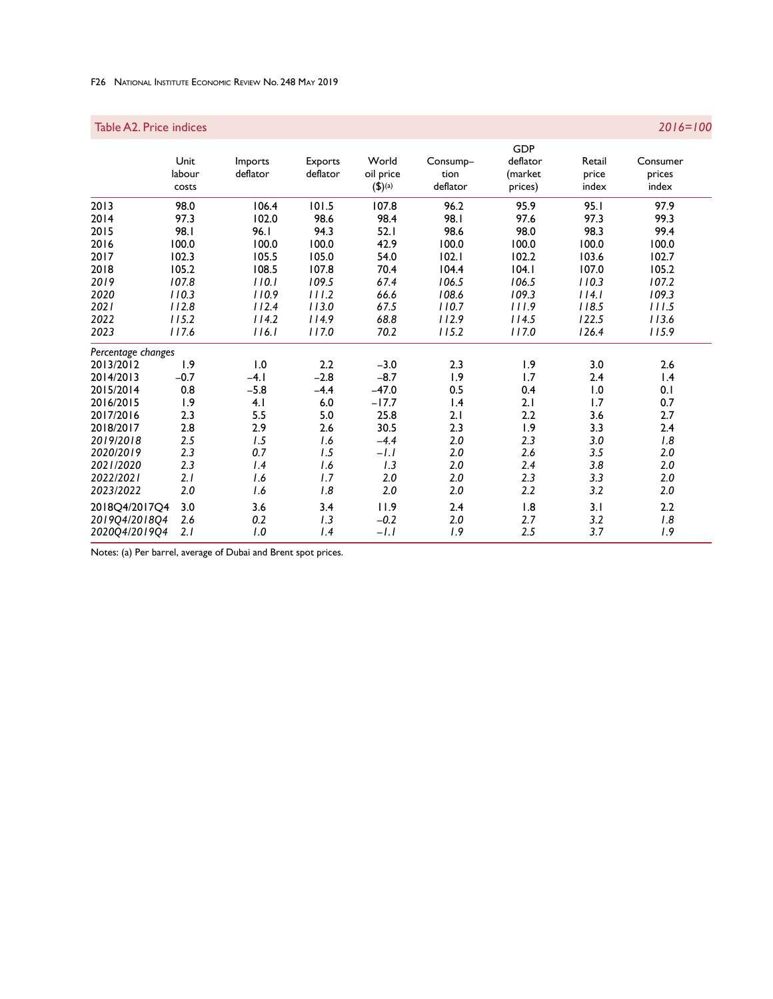# F26 National Institute Economic Review No. 248 May 2019

| Table A2. Price indices |        |          |          |                      |                 |            |        | $2016 = 100$ |
|-------------------------|--------|----------|----------|----------------------|-----------------|------------|--------|--------------|
|                         |        |          |          |                      |                 | <b>GDP</b> |        |              |
|                         | Unit   | Imports  | Exports  | World                | Consump-        | deflator   | Retail | Consumer     |
|                         | labour | deflator | deflator | oil price            | tion            | (market    | price  | prices       |
|                         | costs  |          |          | $(5)$ <sup>(a)</sup> | deflator        | prices)    | index  | index        |
| 2013                    | 98.0   | 106.4    | 101.5    | 107.8                | 96.2            | 95.9       | 95.1   | 97.9         |
| 2014                    | 97.3   | 102.0    | 98.6     | 98.4                 | 98.I            | 97.6       | 97.3   | 99.3         |
| 2015                    | 98.I   | 96.1     | 94.3     | 52.1                 | 98.6            | 98.0       | 98.3   | 99.4         |
| 2016                    | 100.0  | 100.0    | 100.0    | 42.9                 | 100.0           | 100.0      | 100.0  | 100.0        |
| 2017                    | 102.3  | 105.5    | 105.0    | 54.0                 | 102.1           | 102.2      | 103.6  | 102.7        |
| 2018                    | 105.2  | 108.5    | 107.8    | 70.4                 | 104.4           | 104.1      | 107.0  | 105.2        |
| 2019                    | 107.8  | 110.1    | 109.5    | 67.4                 | 106.5           | 106.5      | 110.3  | 107.2        |
| 2020                    | 110.3  | 110.9    | 111.2    | 66.6                 | 108.6           | 109.3      | 114.1  | 109.3        |
| 2021                    | 112.8  | 112.4    | 113.0    | 67.5                 | 110.7           | 111.9      | 118.5  | 111.5        |
| 2022                    | 115.2  | 114.2    | 114.9    | 68.8                 | 112.9           | 114.5      | 122.5  | 113.6        |
| 2023                    | 117.6  | 116.1    | 117.0    | 70.2                 | 115.2           | 117.0      | 126.4  | 115.9        |
| Percentage changes      |        |          |          |                      |                 |            |        |              |
| 2013/2012               | 1.9    | 1.0      | 2.2      | $-3.0$               | 2.3             | 1.9        | 3.0    | 2.6          |
| 2014/2013               | $-0.7$ | $-4.1$   | $-2.8$   | $-8.7$               | 1.9             | 1.7        | 2.4    | 1.4          |
| 2015/2014               | 0.8    | $-5.8$   | $-4.4$   | $-47.0$              | 0.5             | 0.4        | 1.0    | 0.1          |
| 2016/2015               | 1.9    | 4.1      | 6.0      | $-17.7$              | $\mathsf{I}$ .4 | 2.1        | 1.7    | 0.7          |
| 2017/2016               | 2.3    | 5.5      | 5.0      | 25.8                 | 2.1             | 2.2        | 3.6    | 2.7          |
| 2018/2017               | 2.8    | 2.9      | 2.6      | 30.5                 | 2.3             | 1.9        | 3.3    | 2.4          |
| 2019/2018               | 2.5    | 1.5      | 1.6      | $-4.4$               | 2.0             | 2.3        | 3.0    | 1.8          |
| 2020/2019               | 2.3    | 0.7      | 1.5      | $-l.l$               | 2.0             | 2.6        | 3.5    | 2.0          |
| 2021/2020               | 2.3    | 1.4      | 1.6      | 1.3                  | 2.0             | 2.4        | 3.8    | 2.0          |
| 2022/2021               | 2.1    | 1.6      | 1.7      | 2.0                  | 2.0             | 2.3        | 3.3    | 2.0          |
| 2023/2022               | 2.0    | 1.6      | 1.8      | 2.0                  | 2.0             | 2.2        | 3.2    | 2.0          |
| 2018O4/2017O4           | 3.0    | 3.6      | 3.4      | 11.9                 | 2.4             | 1.8        | 3.1    | 2.2          |
| 201904/201804           | 2.6    | 0.2      | 1.3      | $-0.2$               | 2.0             | 2.7        | 3.2    | $1.8\,$      |
| 202004/201904           | 2.1    | 1.0      | 1.4      | $-l.l$               | 1.9             | 2.5        | 3.7    | 1.9          |

Notes: (a) Per barrel, average of Dubai and Brent spot prices.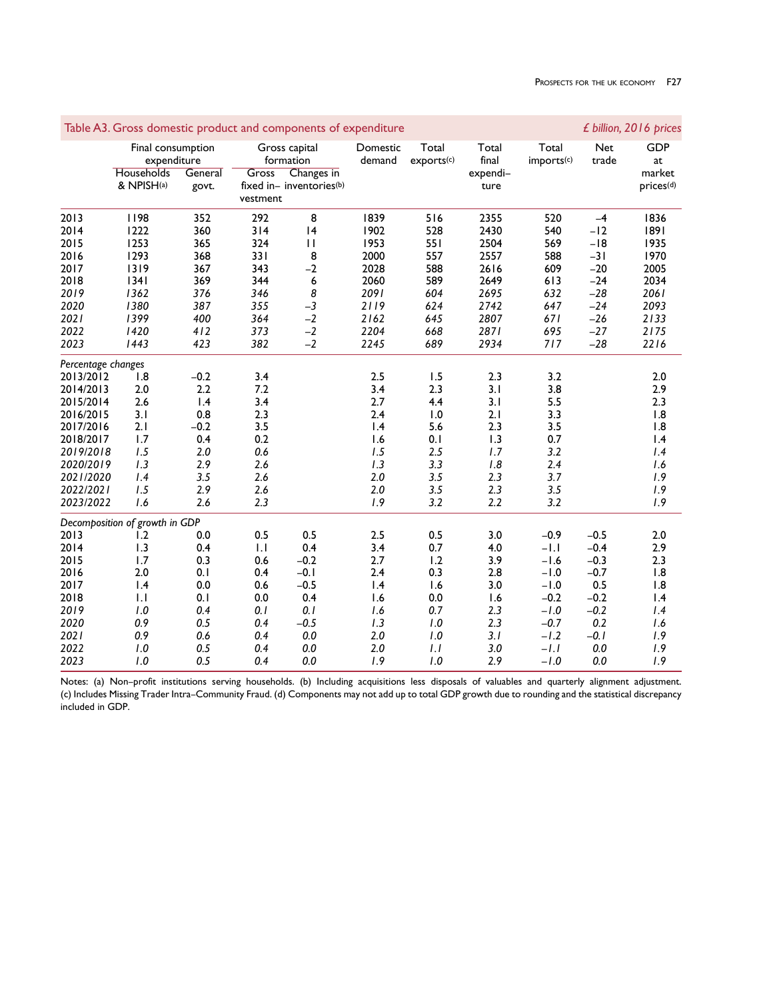|                    |                                                              |                  |                   | Table A3. Gross domestic product and components of expenditure       |                    |                     |                                    |                                 |                     | £ billion, 2016 prices                              |
|--------------------|--------------------------------------------------------------|------------------|-------------------|----------------------------------------------------------------------|--------------------|---------------------|------------------------------------|---------------------------------|---------------------|-----------------------------------------------------|
|                    | Final consumption<br>expenditure<br>Households<br>& NPISH(a) | General<br>govt. | Gross<br>vestment | Gross capital<br>formation<br>Changes in<br>fixed in- inventories(b) | Domestic<br>demand | Total<br>exports(c) | Total<br>final<br>expendi-<br>ture | Total<br>imports <sup>(c)</sup> | <b>Net</b><br>trade | <b>GDP</b><br>at<br>market<br>prices <sup>(d)</sup> |
| 2013               | 1198                                                         | 352              | 292               | 8                                                                    | 1839               | 516                 | 2355                               | 520                             | $-4$                | 1836                                                |
| 2014               | 1222                                                         | 360              | 314               | 4                                                                    | 1902               | 528                 | 2430                               | 540                             | $-12$               | 1891                                                |
| 2015               | 1253                                                         | 365              | 324               | $\mathbf{I}$                                                         | 1953               | 551                 | 2504                               | 569                             | $-18$               | 1935                                                |
| 2016               | 1293                                                         | 368              | 331               | 8                                                                    | 2000               | 557                 | 2557                               | 588                             | $-31$               | 1970                                                |
| 2017               | 1319                                                         | 367              | 343               | $-2$                                                                 | 2028               | 588                 | 2616                               | 609                             | $-20$               | 2005                                                |
| 2018               | 1341                                                         | 369              | 344               | 6                                                                    | 2060               | 589                 | 2649                               | 613                             | $-24$               | 2034                                                |
| 2019               | 1362                                                         | 376              | 346               | 8                                                                    | 2091               | 604                 | 2695                               | 632                             | $-28$               | 2061                                                |
| 2020               | 1380                                                         | 387              | 355               | $-3$                                                                 | 2119               | 624                 | 2742                               | 647                             | $-24$               | 2093                                                |
| 2021               | 1399                                                         | 400              | 364               | $-2$                                                                 | 2162               | 645                 | 2807                               | 671                             | $-26$               | 2133                                                |
| 2022               | 1420                                                         | 412              | 373               | $-2$                                                                 | 2204               | 668                 | 2871                               | 695                             | $-27$               | 2175                                                |
| 2023               | 1443                                                         | 423              | 382               | $-2$                                                                 | 2245               | 689                 | 2934                               | 717                             | $-28$               | 2216                                                |
| Percentage changes |                                                              |                  |                   |                                                                      |                    |                     |                                    |                                 |                     |                                                     |
| 2013/2012          | 1.8                                                          | $-0.2$           | 3.4               |                                                                      | 2.5                | 1.5                 | 2.3                                | 3.2                             |                     | 2.0                                                 |
| 2014/2013          | 2.0                                                          | 2.2              | 7.2               |                                                                      | 3.4                | 2.3                 | 3.1                                | 3.8                             |                     | 2.9                                                 |
| 2015/2014          | 2.6                                                          | 1.4              | 3.4               |                                                                      | 2.7                | 4.4                 | 3.1                                | 5.5                             |                     | 2.3                                                 |
| 2016/2015          | 3.1                                                          | 0.8              | 2.3               |                                                                      | 2.4                | 1.0                 | 2.1                                | 3.3                             |                     | 1.8                                                 |
| 2017/2016          | 2.1                                                          | $-0.2$           | 3.5               |                                                                      | 1.4                | 5.6                 | 2.3                                | 3.5                             |                     | 1.8                                                 |
| 2018/2017          | 1.7                                                          | 0.4              | 0.2               |                                                                      | 1.6                | 0.1                 | 1.3                                | 0.7                             |                     | $\mathsf{I}$ .4                                     |
| 2019/2018          | 1.5                                                          | 2.0              | 0.6               |                                                                      | 1.5                | 2.5                 | 1.7                                | 3.2                             |                     | 1.4                                                 |
| 2020/2019          | 1.3                                                          | 2.9              | 2.6               |                                                                      | 1.3                | 3.3                 | 1.8                                | 2.4                             |                     | 1.6                                                 |
| 2021/2020          | 1.4                                                          | 3.5              | 2.6               |                                                                      | 2.0                | 3.5                 | 2.3                                | 3.7                             |                     | 1.9                                                 |
| 2022/2021          | 1.5                                                          | 2.9              | 2.6               |                                                                      | 2.0                | 3.5                 | 2.3                                | 3.5                             |                     | 1.9                                                 |
| 2023/2022          | 1.6                                                          | 2.6              | 2.3               |                                                                      | 1.9                | 3.2                 | 2.2                                | 3.2                             |                     | 1.9                                                 |
|                    | Decomposition of growth in GDP                               |                  |                   |                                                                      |                    |                     |                                    |                                 |                     |                                                     |
| 2013               | 1.2                                                          | 0.0              | 0.5               | 0.5                                                                  | 2.5                | 0.5                 | 3.0                                | $-0.9$                          | $-0.5$              | 2.0                                                 |
| 2014               | 1.3                                                          | 0.4              | 1.1               | 0.4                                                                  | 3.4                | 0.7                 | 4.0                                | $-1.1$                          | $-0.4$              | 2.9                                                 |
| 2015               | 1.7                                                          | 0.3              | 0.6               | $-0.2$                                                               | 2.7                | 1.2                 | 3.9                                | $-1.6$                          | $-0.3$              | 2.3                                                 |
| 2016               | 2.0                                                          | 0.1              | 0.4               | $-0.1$                                                               | 2.4                | 0.3                 | 2.8                                | $-1.0$                          | $-0.7$              | 1.8                                                 |
| 2017               | 1.4                                                          | 0.0              | 0.6               | $-0.5$                                                               | 1.4                | 1.6                 | 3.0                                | $-1.0$                          | 0.5                 | 1.8                                                 |
| 2018               | $\mathbf{L}$                                                 | 0.1              | 0.0               | 0.4                                                                  | 1.6                | 0.0                 | 1.6                                | $-0.2$                          | $-0.2$              | 1.4                                                 |
| 2019               | $1.0$                                                        | 0.4              | 0.1               | 0.1                                                                  | 1.6                | 0.7                 | 2.3                                | $-1.0$                          | $-0.2$              | 1.4                                                 |
| 2020               | 0.9                                                          | 0.5              | 0.4               | $-0.5$                                                               | 1.3                | 1.0                 | 2.3                                | $-0.7$                          | 0.2                 | 1.6                                                 |
| 2021               | 0.9                                                          | 0.6              | 0.4               | 0.0                                                                  | 2.0                | 1.0                 | 3.1                                | $-1.2$                          | $-0.1$              | 1.9                                                 |
| 2022               | 1.0                                                          | 0.5              | 0.4               | 0.0                                                                  | 2.0                | 1.1                 | 3.0                                | $-l.l$                          | 0.0                 | 1.9                                                 |
| 2023               | 1.0                                                          | 0.5              | 0.4               | 0.0                                                                  | 1.9                | 1.0                 | 2.9                                | $-1.0$                          | 0.0                 | 1.9                                                 |

Notes: (a) Non–profit institutions serving households. (b) Including acquisitions less disposals of valuables and quarterly alignment adjustment. (c) Includes Missing Trader Intra–Community Fraud. (d) Components may not add up to total GDP growth due to rounding and the statistical discrepancy included in GDP.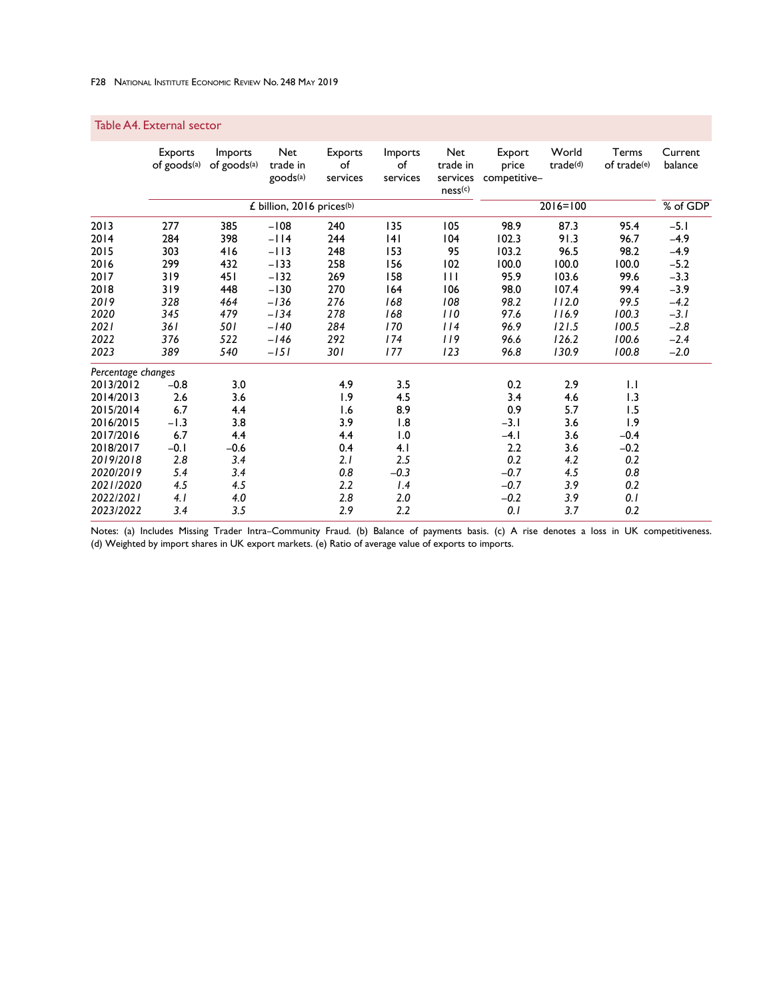# Table A4. External sector

|                    | <b>Exports</b><br>of goods(a) | Imports<br>of goods(a) | Net<br>trade in<br>goods <sup>(a)</sup> | Exports<br>of<br>services | Imports<br>of<br>services | <b>Net</b><br>trade in<br>services<br>ness(c) | Export<br>price<br>competitive- | World<br>trade(d) | Terms<br>of trade(e) | Current<br>balance |
|--------------------|-------------------------------|------------------------|-----------------------------------------|---------------------------|---------------------------|-----------------------------------------------|---------------------------------|-------------------|----------------------|--------------------|
|                    |                               |                        | £ billion, 2016 prices <sup>(b)</sup>   |                           |                           |                                               |                                 | $2016 = 100$      |                      | % of GDP           |
| 2013               | 277                           | 385                    | $-108$                                  | 240                       | 135                       | 105                                           | 98.9                            | 87.3              | 95.4                 | $-5.1$             |
| 2014               | 284                           | 398                    | $-114$                                  | 244                       | 14 I                      | 104                                           | 102.3                           | 91.3              | 96.7                 | $-4.9$             |
| 2015               | 303                           | 416                    | $-113$                                  | 248                       | 153                       | 95                                            | 103.2                           | 96.5              | 98.2                 | $-4.9$             |
| 2016               | 299                           | 432                    | $-133$                                  | 258                       | 156                       | 102                                           | 100.0                           | 100.0             | 100.0                | $-5.2$             |
| 2017               | 319                           | 451                    | $-132$                                  | 269                       | 158                       | Ħ                                             | 95.9                            | 103.6             | 99.6                 | $-3.3$             |
| 2018               | 319                           | 448                    | $-130$                                  | 270                       | 164                       | 106                                           | 98.0                            | 107.4             | 99.4                 | $-3.9$             |
| 2019               | 328                           | 464                    | $-136$                                  | 276                       | 168                       | 108                                           | 98.2                            | 112.0             | 99.5                 | $-4.2$             |
| 2020               | 345                           | 479                    | $-134$                                  | 278                       | 168                       | 110                                           | 97.6                            | 116.9             | 100.3                | $-3.1$             |
| 2021               | 36 I                          | <b>501</b>             | $-140$                                  | 284                       | 170                       | 114                                           | 96.9                            | 121.5             | 100.5                | $-2.8$             |
| 2022               | 376                           | 522                    | $-146$                                  | 292                       | 174                       | 119                                           | 96.6                            | 126.2             | 100.6                | $-2.4$             |
| 2023               | 389                           | 540                    | $-151$                                  | 30 I                      | 177                       | 123                                           | 96.8                            | 130.9             | 100.8                | $-2.0$             |
| Percentage changes |                               |                        |                                         |                           |                           |                                               |                                 |                   |                      |                    |
| 2013/2012          | $-0.8$                        | 3.0                    |                                         | 4.9                       | 3.5                       |                                               | 0.2                             | 2.9               | $  \cdot  $          |                    |
| 2014/2013          | 2.6                           | 3.6                    |                                         | 1.9                       | 4.5                       |                                               | 3.4                             | 4.6               | 1.3                  |                    |
| 2015/2014          | 6.7                           | 4.4                    |                                         | 1.6                       | 8.9                       |                                               | 0.9                             | 5.7               | 1.5                  |                    |
| 2016/2015          | $-1.3$                        | 3.8                    |                                         | 3.9                       | 1.8                       |                                               | $-3.1$                          | 3.6               | 1.9                  |                    |
| 2017/2016          | 6.7                           | 4.4                    |                                         | 4.4                       | 1.0                       |                                               | $-4.1$                          | 3.6               | $-0.4$               |                    |
| 2018/2017          | $-0.1$                        | $-0.6$                 |                                         | 0.4                       | 4.1                       |                                               | 2.2                             | 3.6               | $-0.2$               |                    |
| 2019/2018          | 2.8                           | 3.4                    |                                         | 2.1                       | 2.5                       |                                               | 0.2                             | 4.2               | 0.2                  |                    |
| 2020/2019          | 5.4                           | 3.4                    |                                         | 0.8                       | $-0.3$                    |                                               | $-0.7$                          | 4.5               | 0.8                  |                    |
| 2021/2020          | 4.5                           | 4.5                    |                                         | 2.2                       | 1.4                       |                                               | $-0.7$                          | 3.9               | 0.2                  |                    |
| 2022/2021          | 4. I                          | 4.0                    |                                         | 2.8                       | 2.0                       |                                               | $-0.2$                          | 3.9               | 0.1                  |                    |
| 2023/2022          | 3.4                           | 3.5                    |                                         | 2.9                       | 2.2                       |                                               | 0. I                            | 3.7               | 0.2                  |                    |

Notes: (a) Includes Missing Trader Intra–Community Fraud. (b) Balance of payments basis. (c) A rise denotes a loss in UK competitiveness. (d) Weighted by import shares in UK export markets. (e) Ratio of average value of exports to imports.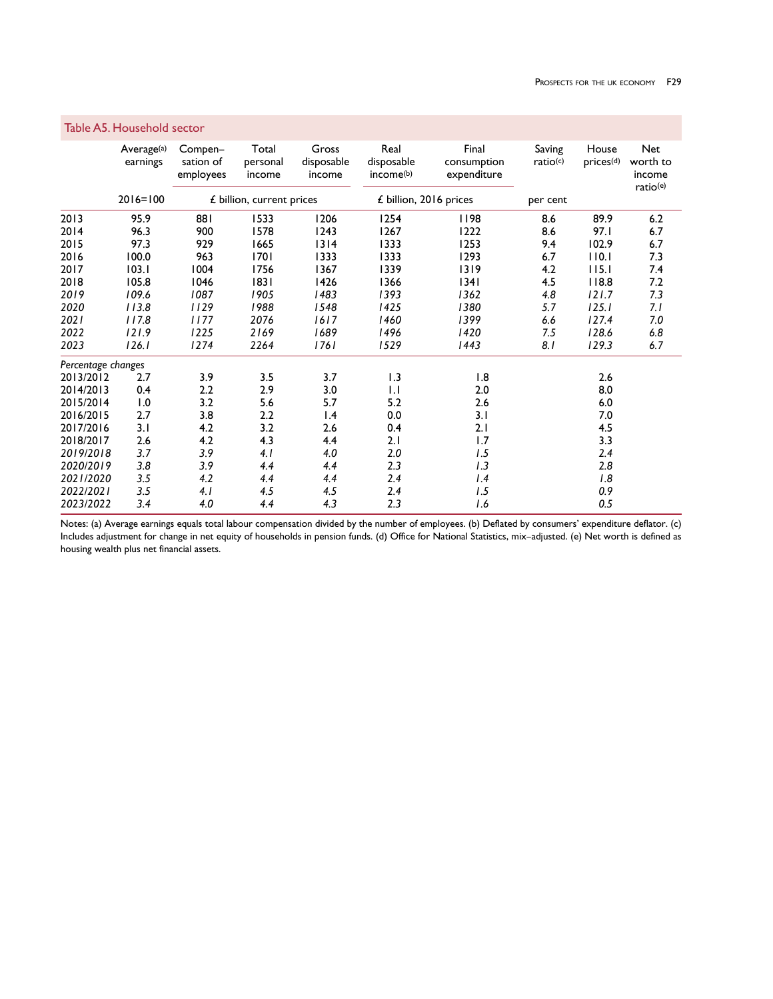|                    | Table A5. Household sector         |                                   |                             |                               |                                             |                                     |                    |                                  |                                              |
|--------------------|------------------------------------|-----------------------------------|-----------------------------|-------------------------------|---------------------------------------------|-------------------------------------|--------------------|----------------------------------|----------------------------------------------|
|                    | Average <sup>(a)</sup><br>earnings | Compen-<br>sation of<br>employees | Total<br>personal<br>income | Gross<br>disposable<br>income | Real<br>disposable<br>income <sup>(b)</sup> | Final<br>consumption<br>expenditure | Saving<br>ratio(c) | House<br>$prices$ <sup>(d)</sup> | <b>Net</b><br>worth to<br>income<br>ratio(e) |
|                    | $2016 = 100$                       |                                   | £ billion, current prices   |                               | £ billion, 2016 prices                      |                                     | per cent           |                                  |                                              |
| 2013               | 95.9                               | 881                               | 1533                        | 1206                          | 1254                                        | 1198                                | 8.6                | 89.9                             | 6.2                                          |
| 2014               | 96.3                               | 900                               | 1578                        | 1243                          | 1267                                        | 1222                                | 8.6                | 97.I                             | 6.7                                          |
| 2015               | 97.3                               | 929                               | 1665                        | 1314                          | 1333                                        | 1253                                | 9.4                | 102.9                            | 6.7                                          |
| 2016               | 100.0                              | 963                               | 1701                        | 1333                          | 1333                                        | 1293                                | 6.7                | 110.1                            | 7.3                                          |
| 2017               | 103.1                              | 1004                              | 1756                        | 1367                          | 1339                                        | 1319                                | 4.2                | 115.1                            | 7.4                                          |
| 2018               | 105.8                              | 1046                              | 1831                        | 1426                          | 1366                                        | 1341                                | 4.5                | 118.8                            | 7.2                                          |
| 2019               | 109.6                              | 1087                              | 1905                        | 1483                          | 1393                                        | 1362                                | 4.8                | 121.7                            | 7.3                                          |
| 2020               | 113.8                              | 1129                              | 1988                        | 1548                          | 1425                                        | 1380                                | 5.7                | 125.1                            | 7.1                                          |
| 2021               | 117.8                              | 1177                              | 2076                        | 1617                          | 1460                                        | 1399                                | 6.6                | 127.4                            | $7.0$                                        |
| 2022               | 121.9                              | 1225                              | 2169                        | 1689                          | 1496                                        | 1420                                | 7.5                | 128.6                            | 6.8                                          |
| 2023               | 126.1                              | 1274                              | 2264                        | 1761                          | 1529                                        | 1443                                | 8.1                | 129.3                            | 6.7                                          |
| Percentage changes |                                    |                                   |                             |                               |                                             |                                     |                    |                                  |                                              |
| 2013/2012          | 2.7                                | 3.9                               | 3.5                         | 3.7                           | 1.3                                         | 1.8                                 |                    | 2.6                              |                                              |
| 2014/2013          | 0.4                                | 2.2                               | 2.9                         | 3.0                           | $  \cdot  $                                 | 2.0                                 |                    | 8.0                              |                                              |
| 2015/2014          | 1.0                                | 3.2                               | 5.6                         | 5.7                           | 5.2                                         | 2.6                                 |                    | $6.0\,$                          |                                              |
| 2016/2015          | 2.7                                | 3.8                               | 2.2                         | $\mathsf{I}$ .4               | 0.0                                         | 3.1                                 |                    | 7.0                              |                                              |
| 2017/2016          | 3.1                                | 4.2                               | 3.2                         | 2.6                           | 0.4                                         | 2.1                                 |                    | 4.5                              |                                              |
| 2018/2017          | 2.6                                | 4.2                               | 4.3                         | 4.4                           | 2.1                                         | 1.7                                 |                    | 3.3                              |                                              |
| 2019/2018          | 3.7                                | 3.9                               | 4.1                         | 4.0                           | 2.0                                         | 1.5                                 |                    | 2.4                              |                                              |
| 2020/2019          | 3.8                                | 3.9                               | 4.4                         | 4.4                           | 2.3                                         | 1.3                                 |                    | 2.8                              |                                              |
| 2021/2020          | 3.5                                | 4.2                               | 4.4                         | 4.4                           | 2.4                                         | 1.4                                 |                    | 1.8                              |                                              |
| 2022/2021          | 3.5                                | 4.1                               | 4.5                         | 4.5                           | 2.4                                         | 1.5                                 |                    | 0.9                              |                                              |
| 2023/2022          | 3.4                                | 4.0                               | 4.4                         | 4.3                           | 2.3                                         | 1.6                                 |                    | 0.5                              |                                              |

# Table A5. Household sector

Notes: (a) Average earnings equals total labour compensation divided by the number of employees. (b) Deflated by consumers' expenditure deflator. (c) Includes adjustment for change in net equity of households in pension funds. (d) Office for National Statistics, mix–adjusted. (e) Net worth is defined as housing wealth plus net financial assets.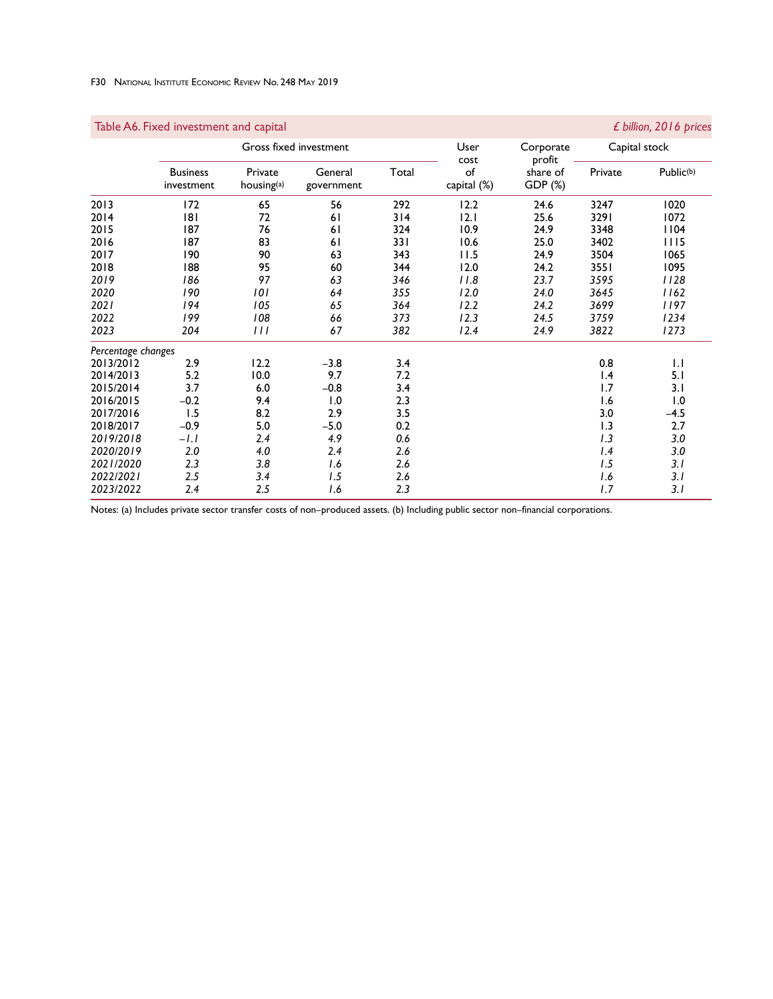### F30 National Institute Economic Review No. 248 May 2019

## Gross fixed investment **Capital Stock** User Corporate Capital stock Capital stock Capital stock Capital Stock Capital Stock Capital Stock Capital Stock Capital Stock Capital Stock Capital Stock Capital Stock Capital Stock <u>cost profit</u> Business Private General Total of share of Private Public(b) investment housing<sup>(a)</sup> government capital (%) GDP (%) 2013 172 65 56 292 12.2 24.6 3247 1020 2014 181 72 61 314 12.1 25.6 3291 1072 2015 187 76 61 324 10.9 24.9 3348 1104 2016 187 83 61 331 10.6 25.0 3402 1115 2017 190 90 63 343 11.5 24.9 3504 1065 2018 188 95 60 344 12.0 24.2 3551 1095 *2019 186 97 63 346 11.8 23.7 3595 1128 2020 190 101 64 355 12.0 24.0 3645 1162 2021 194 105 65 364 12.2 24.2 3699 1197 2022 199 108 66 373 12.3 24.5 3759 1234 2023 204 111 67 382 12.4 24.9 3822 1273 Percentage changes* 2013/2012 2.9 12.2 –3.8 3.4 0.8 1.1 2014/2013 5.2 10.0 9.7 7.2 1.4 5.1 2015/2014 3.7 6.0 –0.8 3.4 1.7 3.1 2016/2015 –0.2 9.4 1.0 2.3 1.6 1.0 2017/2016 1.5 8.2 2.9 3.5 3.0 –4.5 2018/2017 –0.9 5.0 –5.0 0.2 1.3 2.7 *2019/2018 –1.1 2.4 4.9 0.6 1.3 3.0 2020/2019 2.0 4.0 2.4 2.6 1.4 3.0 2021/2020 2.3 3.8 1.6 2.6 1.5 3.1 2022/2021 2.5 3.4 1.5 2.6 1.6 3.1 2023/2022 2.4 2.5 1.6 2.3 1.7 3.1*

Notes: (a) Includes private sector transfer costs of non–produced assets. (b) Including public sector non–financial corporations.

### Table A6. Fixed investment and capital *£ billion, 2016 prices*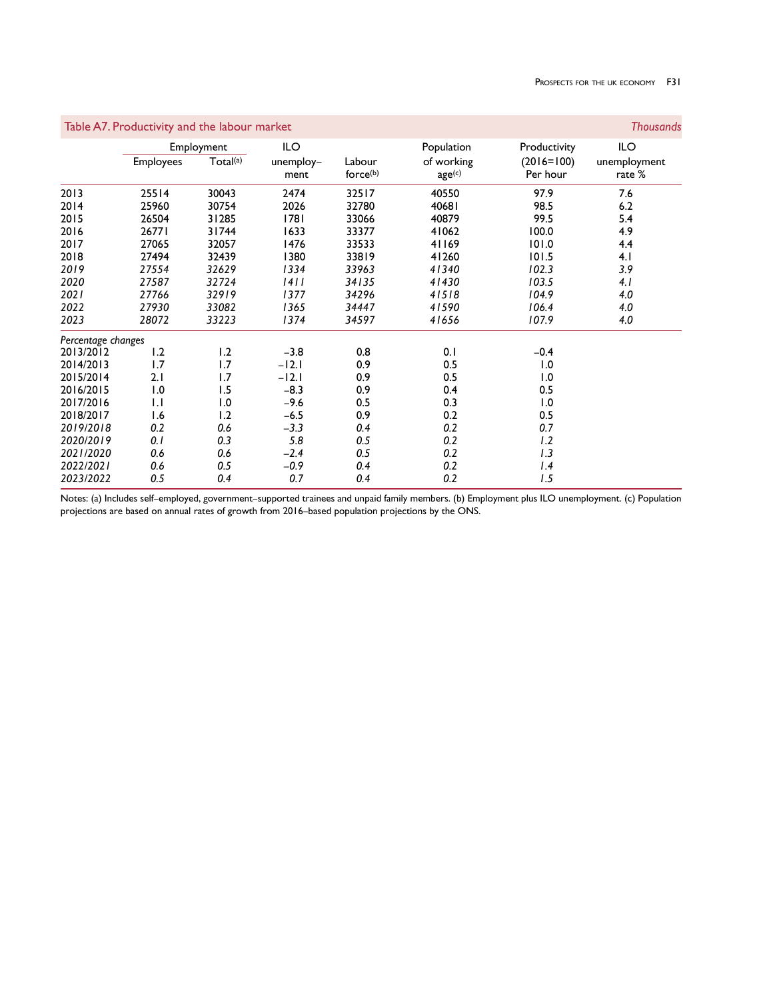|                    | Table A7. Productivity and the labour market |            |                   |                    |                      |                          |                        |
|--------------------|----------------------------------------------|------------|-------------------|--------------------|----------------------|--------------------------|------------------------|
|                    |                                              | Employment | ILO               |                    | Population           | Productivity             | ILO                    |
|                    | <b>Employees</b>                             | Total(a)   | unemploy-<br>ment | Labour<br>force(b) | of working<br>age(c) | $(2016=100)$<br>Per hour | unemployment<br>rate % |
| 2013               | 25514                                        | 30043      | 2474              | 32517              | 40550                | 97.9                     | 7.6                    |
| 2014               | 25960                                        | 30754      | 2026              | 32780              | 40681                | 98.5                     | 6.2                    |
| 2015               | 26504                                        | 31285      | 1781              | 33066              | 40879                | 99.5                     | 5.4                    |
| 2016               | 26771                                        | 31744      | 1633              | 33377              | 41062                | 100.0                    | 4.9                    |
| 2017               | 27065                                        | 32057      | 1476              | 33533              | 41169                | 101.0                    | 4.4                    |
| 2018               | 27494                                        | 32439      | 1380              | 33819              | 41260                | 101.5                    | 4.1                    |
| 2019               | 27554                                        | 32629      | 1334              | 33963              | 41340                | 102.3                    | 3.9                    |
| 2020               | 27587                                        | 32724      | 1411              | 34135              | 41430                | 103.5                    | 4.1                    |
| 2021               | 27766                                        | 32919      | 1377              | 34296              | 41518                | 104.9                    | 4.0                    |
| 2022               | 27930                                        | 33082      | 1365              | 34447              | 41590                | 106.4                    | 4.0                    |
| 2023               | 28072                                        | 33223      | 1374              | 34597              | 41656                | 107.9                    | 4.0                    |
| Percentage changes |                                              |            |                   |                    |                      |                          |                        |
| 2013/2012          | 1.2                                          | 1.2        | $-3.8$            | 0.8                | 0.1                  | $-0.4$                   |                        |
| 2014/2013          | 1.7                                          | 1.7        | $-12.1$           | 0.9                | 0.5                  | 1.0                      |                        |
| 2015/2014          | 2.1                                          | 1.7        | $-12.1$           | 0.9                | 0.5                  | 1.0                      |                        |
| 2016/2015          | 1.0                                          | 1.5        | $-8.3$            | 0.9                | 0.4                  | 0.5                      |                        |
| 2017/2016          | $\mathsf{L}$                                 | 1.0        | $-9.6$            | 0.5                | 0.3                  | 1.0                      |                        |
| 2018/2017          | 1.6                                          | 1.2        | $-6.5$            | 0.9                | 0.2                  | 0.5                      |                        |
| 2019/2018          | 0.2                                          | 0.6        | $-3.3$            | 0.4                | 0.2                  | 0.7                      |                        |
| 2020/2019          | 0.1                                          | 0.3        | 5.8               | 0.5                | 0.2                  | 1.2                      |                        |
| 2021/2020          | 0.6                                          | 0.6        | $-2.4$            | 0.5                | 0.2                  | 1.3                      |                        |
| 2022/2021          | 0.6                                          | 0.5        | $-0.9$            | 0.4                | 0.2                  | 1.4                      |                        |
| 2023/2022          | 0.5                                          | 0.4        | 0.7               | 0.4                | 0.2                  | 1.5                      |                        |

Notes: (a) Includes self–employed, government–supported trainees and unpaid family members. (b) Employment plus ILO unemployment. (c) Population projections are based on annual rates of growth from 2016–based population projections by the ONS.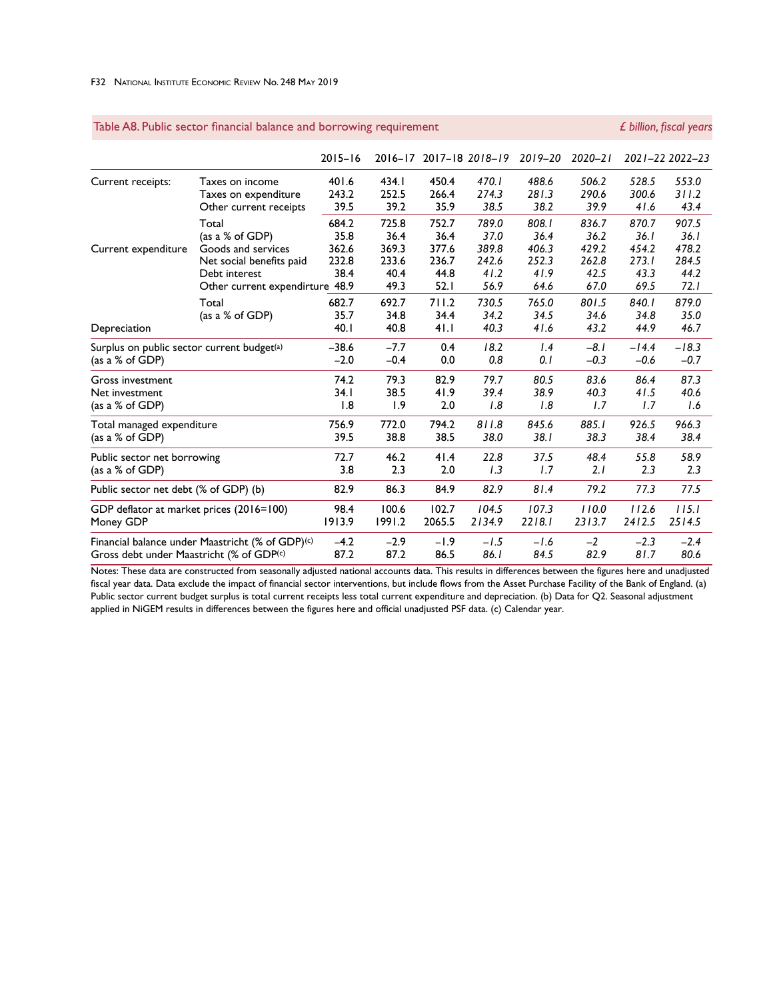#### F32 National Institute Economic Review No. 248 May 2019

|                                                        |                                                  | $2015 - 16$ |        |        | 2016-17 2017-18 2018-19 | $2019 - 20$ | $2020 - 21$ |         | 2021-22 2022-23 |
|--------------------------------------------------------|--------------------------------------------------|-------------|--------|--------|-------------------------|-------------|-------------|---------|-----------------|
| Current receipts:                                      | Taxes on income                                  | 401.6       | 434.1  | 450.4  | 470.I                   | 488.6       | 506.2       | 528.5   | 553.0           |
|                                                        | Taxes on expenditure                             | 243.2       | 252.5  | 266.4  | 274.3                   | 281.3       | 290.6       | 300.6   | 311.2           |
|                                                        | Other current receipts                           | 39.5        | 39.2   | 35.9   | 38.5                    | 38.2        | 39.9        | 41.6    | 43.4            |
|                                                        | Total                                            | 684.2       | 725.8  | 752.7  | 789.0                   | 808.1       | 836.7       | 870.7   | 907.5           |
|                                                        | (as a % of GDP)                                  | 35.8        | 36.4   | 36.4   | 37.0                    | 36.4        | 36.2        | 36. I   | 36.1            |
| Current expenditure                                    | Goods and services                               | 362.6       | 369.3  | 377.6  | 389.8                   | 406.3       | 429.2       | 454.2   | 478.2           |
|                                                        | Net social benefits paid                         | 232.8       | 233.6  | 236.7  | 242.6                   | 252.3       | 262.8       | 273.1   | 284.5           |
|                                                        | Debt interest                                    | 38.4        | 40.4   | 44.8   | 41.2                    | 41.9        | 42.5        | 43.3    | 44.2            |
|                                                        | Other current expendirture                       | 48.9        | 49.3   | 52.1   | 56.9                    | 64.6        | 67.0        | 69.5    | 72.1            |
|                                                        | Total                                            | 682.7       | 692.7  | 711.2  | 730.5                   | 765.0       | 801.5       | 840.1   | 879.0           |
|                                                        | (as a $%$ of GDP)                                | 35.7        | 34.8   | 34.4   | 34.2                    | 34.5        | 34.6        | 34.8    | 35.0            |
| Depreciation                                           |                                                  | 40.1        | 40.8   | 41.1   | 40.3                    | 41.6        | 43.2        | 44.9    | 46.7            |
| Surplus on public sector current budget <sup>(a)</sup> |                                                  | $-38.6$     | $-7.7$ | 0.4    | 18.2                    | 1.4         | $-8.1$      | $-14.4$ | $-18.3$         |
| (as a $%$ of GDP)                                      |                                                  | $-2.0$      | $-0.4$ | 0.0    | 0.8                     | 0. I        | $-0.3$      | $-0.6$  | $-0.7$          |
| Gross investment                                       |                                                  | 74.2        | 79.3   | 82.9   | 79.7                    | 80.5        | 83.6        | 86.4    | 87.3            |
| Net investment                                         |                                                  | 34. I       | 38.5   | 41.9   | 39.4                    | 38.9        | 40.3        | 41.5    | 40.6            |
| (as a $%$ of GDP)                                      |                                                  | 1.8         | 1.9    | 2.0    | 1.8                     | 1.8         | 1.7         | 1.7     | 1.6             |
| Total managed expenditure                              |                                                  | 756.9       | 772.0  | 794.2  | 811.8                   | 845.6       | 885.1       | 926.5   | 966.3           |
| (as a % of GDP)                                        |                                                  | 39.5        | 38.8   | 38.5   | 38.0                    | 38.1        | 38.3        | 38.4    | 38.4            |
| Public sector net borrowing                            |                                                  | 72.7        | 46.2   | 41.4   | 22.8                    | 37.5        | 48.4        | 55.8    | 58.9            |
| (as a $%$ of GDP)                                      |                                                  | 3.8         | 2.3    | 2.0    | 1.3                     | 1.7         | 2.1         | 2.3     | 2.3             |
| Public sector net debt (% of GDP) (b)                  |                                                  | 82.9        | 86.3   | 84.9   | 82.9                    | 81.4        | 79.2        | 77.3    | 77.5            |
| GDP deflator at market prices (2016=100)               |                                                  | 98.4        | 100.6  | 102.7  | 104.5                   | 107.3       | 110.0       | 112.6   | 115.1           |
| Money GDP                                              |                                                  | 1913.9      | 1991.2 | 2065.5 | 2134.9                  | 2218.1      | 2313.7      | 2412.5  | 2514.5          |
|                                                        | Financial balance under Maastricht (% of GDP)(c) | $-4.2$      | $-2.9$ | $-1.9$ | $-1.5$                  | $-1.6$      | $-2$        | $-2.3$  | $-2.4$          |
| Gross debt under Maastricht (% of GDP(c)               |                                                  | 87.2        | 87.2   | 86.5   | 86.1                    | 84.5        | 82.9        | 81.7    | 80.6            |

# Table A8. Public sector financial balance and borrowing requirement *<i>£ billion, fiscal years*

Notes: These data are constructed from seasonally adjusted national accounts data. This results in differences between the figures here and unadjusted fiscal year data. Data exclude the impact of financial sector interventions, but include flows from the Asset Purchase Facility of the Bank of England. (a) Public sector current budget surplus is total current receipts less total current expenditure and depreciation. (b) Data for Q2. Seasonal adjustment applied in NiGEM results in differences between the figures here and official unadjusted PSF data. (c) Calendar year.